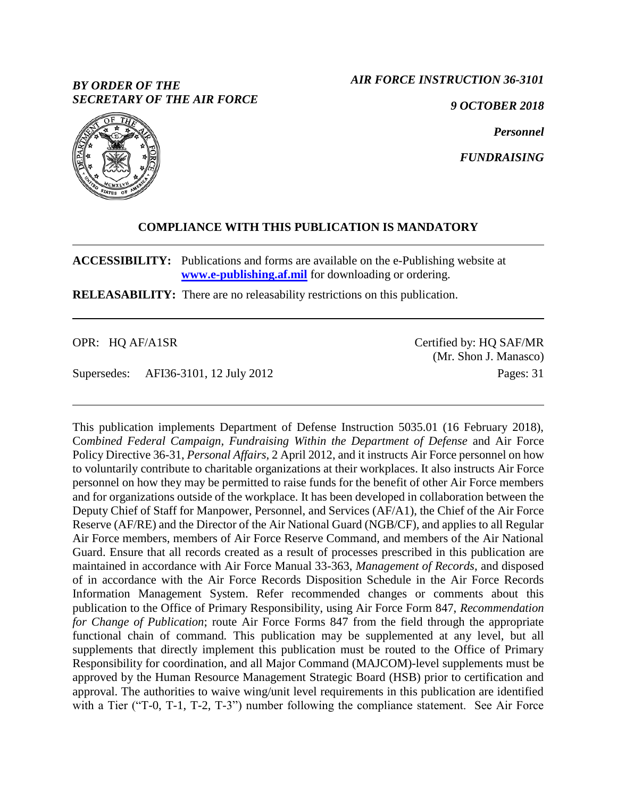## *BY ORDER OF THE SECRETARY OF THE AIR FORCE*

*AIR FORCE INSTRUCTION 36-3101*

*9 OCTOBER 2018*

*Personnel*

*FUNDRAISING*



# **COMPLIANCE WITH THIS PUBLICATION IS MANDATORY**

**ACCESSIBILITY:** Publications and forms are available on the e-Publishing website at **[www.e-publishing.af.mil](http://www.e-publishing.af.mil/)** for downloading or ordering.

**RELEASABILITY:** There are no releasability restrictions on this publication.

OPR: HQ AF/A1SR

Supersedes: AFI36-3101, 12 July 2012

Certified by: HQ SAF/MR (Mr. Shon J. Manasco) Pages: 31

This publication implements Department of Defense Instruction 5035.01 (16 February 2018), Co*mbined Federal Campaign, Fundraising Within the Department of Defense* and Air Force Policy Directive 36-31, *Personal Affairs,* 2 April 2012, and it instructs Air Force personnel on how to voluntarily contribute to charitable organizations at their workplaces. It also instructs Air Force personnel on how they may be permitted to raise funds for the benefit of other Air Force members and for organizations outside of the workplace. It has been developed in collaboration between the Deputy Chief of Staff for Manpower, Personnel, and Services (AF/A1), the Chief of the Air Force Reserve (AF/RE) and the Director of the Air National Guard (NGB/CF), and applies to all Regular Air Force members, members of Air Force Reserve Command, and members of the Air National Guard. Ensure that all records created as a result of processes prescribed in this publication are maintained in accordance with Air Force Manual 33-363, *Management of Records*, and disposed of in accordance with the Air Force Records Disposition Schedule in the Air Force Records Information Management System. Refer recommended changes or comments about this publication to the Office of Primary Responsibility, using Air Force Form 847, *Recommendation for Change of Publication*; route Air Force Forms 847 from the field through the appropriate functional chain of command*.* This publication may be supplemented at any level, but all supplements that directly implement this publication must be routed to the Office of Primary Responsibility for coordination, and all Major Command (MAJCOM)-level supplements must be approved by the Human Resource Management Strategic Board (HSB) prior to certification and approval. The authorities to waive wing/unit level requirements in this publication are identified with a Tier ("T-0, T-1, T-2, T-3") number following the compliance statement. See Air Force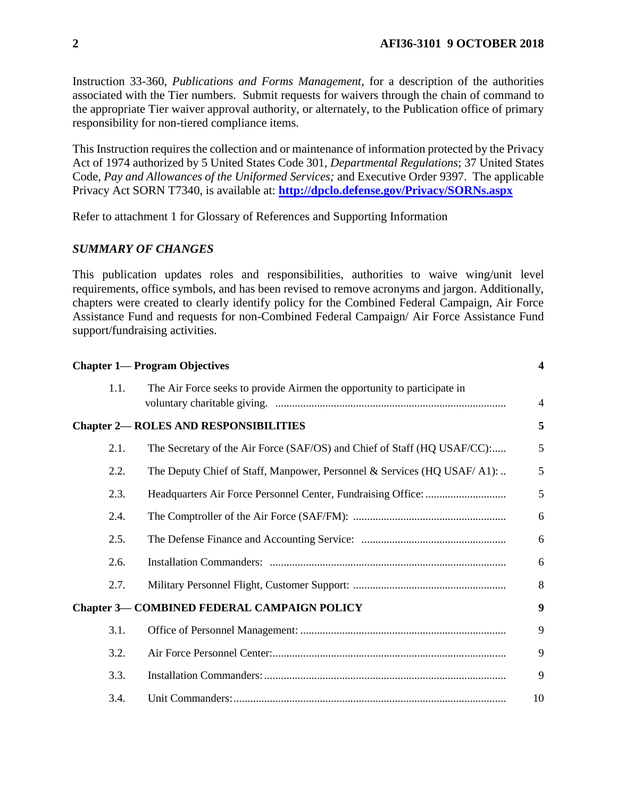Instruction 33-360, *Publications and Forms Management*, for a description of the authorities associated with the Tier numbers. Submit requests for waivers through the chain of command to the appropriate Tier waiver approval authority, or alternately, to the Publication office of primary responsibility for non-tiered compliance items.

This Instruction requires the collection and or maintenance of information protected by the Privacy Act of 1974 authorized by 5 United States Code 301, *Departmental Regulations*; 37 United States Code, *Pay and Allowances of the Uniformed Services;* and Executive Order 9397. The applicable Privacy Act SORN T7340, is available at: **<http://dpclo.defense.gov/Privacy/SORNs.aspx>**

Refer to attachment 1 for Glossary of References and Supporting Information

### *SUMMARY OF CHANGES*

This publication updates roles and responsibilities, authorities to waive wing/unit level requirements, office symbols, and has been revised to remove acronyms and jargon. Additionally, chapters were created to clearly identify policy for the Combined Federal Campaign, Air Force Assistance Fund and requests for non-Combined Federal Campaign/ Air Force Assistance Fund support/fundraising activities.

|      | <b>Chapter 1— Program Objectives</b>                                     | $\boldsymbol{\mathcal{A}}$ |
|------|--------------------------------------------------------------------------|----------------------------|
| 1.1. | The Air Force seeks to provide Airmen the opportunity to participate in  | $\overline{4}$             |
|      | <b>Chapter 2- ROLES AND RESPONSIBILITIES</b>                             | 5                          |
| 2.1. | The Secretary of the Air Force (SAF/OS) and Chief of Staff (HQ USAF/CC): | 5                          |
| 2.2. | The Deputy Chief of Staff, Manpower, Personnel & Services (HQ USAF/A1):  | 5                          |
| 2.3. |                                                                          | 5                          |
| 2.4. |                                                                          | 6                          |
| 2.5. |                                                                          | 6                          |
| 2.6. |                                                                          | 6                          |
| 2.7. |                                                                          | 8                          |
|      | <b>Chapter 3— COMBINED FEDERAL CAMPAIGN POLICY</b>                       | $\boldsymbol{9}$           |
| 3.1. |                                                                          | 9                          |
| 3.2. |                                                                          | 9                          |
| 3.3. |                                                                          | 9                          |
| 3.4. |                                                                          | 10                         |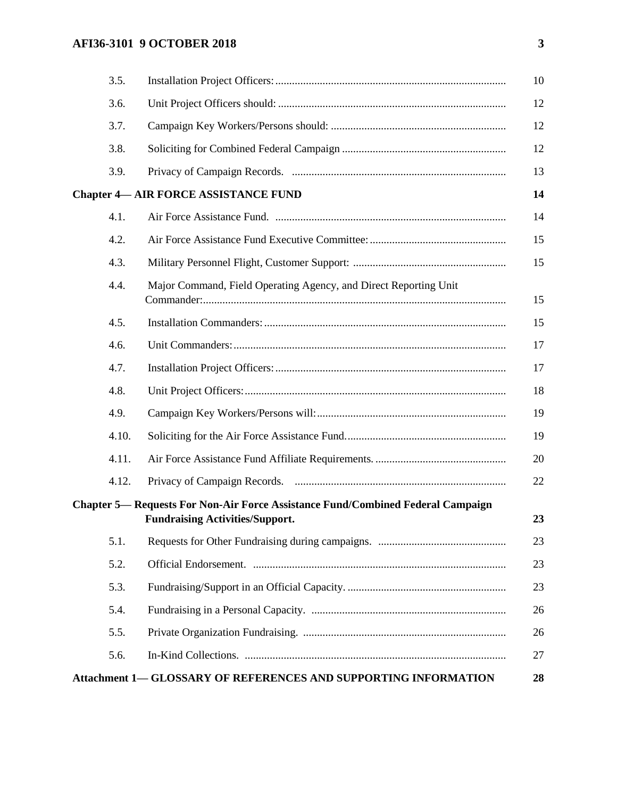# **AFI36-3101 9 OCTOBER 2018 3**

| 3.5. | 10                                                                                                                                     |
|------|----------------------------------------------------------------------------------------------------------------------------------------|
| 3.6. | 12                                                                                                                                     |
| 3.7. | 12                                                                                                                                     |
| 3.8. | 12                                                                                                                                     |
| 3.9. | 13                                                                                                                                     |
|      | 14<br><b>Chapter 4— AIR FORCE ASSISTANCE FUND</b>                                                                                      |
| 4.1. | 14                                                                                                                                     |
| 4.2. | 15                                                                                                                                     |
| 4.3. | 15                                                                                                                                     |
| 4.4. | Major Command, Field Operating Agency, and Direct Reporting Unit<br>15                                                                 |
| 4.5. | 15                                                                                                                                     |
| 4.6. | 17                                                                                                                                     |
| 4.7. | 17                                                                                                                                     |
| 4.8. | 18                                                                                                                                     |
| 4.9. | 19                                                                                                                                     |
|      | 4.10.<br>19                                                                                                                            |
|      | 4.11.<br>20                                                                                                                            |
|      | 22<br>4.12.                                                                                                                            |
|      | <b>Chapter 5— Requests For Non-Air Force Assistance Fund/Combined Federal Campaign</b><br>23<br><b>Fundraising Activities/Support.</b> |
| 5.1. | 23                                                                                                                                     |
| 5.2. | 23                                                                                                                                     |
| 5.3. | 23                                                                                                                                     |
| 5.4. | 26                                                                                                                                     |
| 5.5. | 26                                                                                                                                     |
| 5.6. | 27                                                                                                                                     |
|      | Attachment 1— GLOSSARY OF REFERENCES AND SUPPORTING INFORMATION<br>28                                                                  |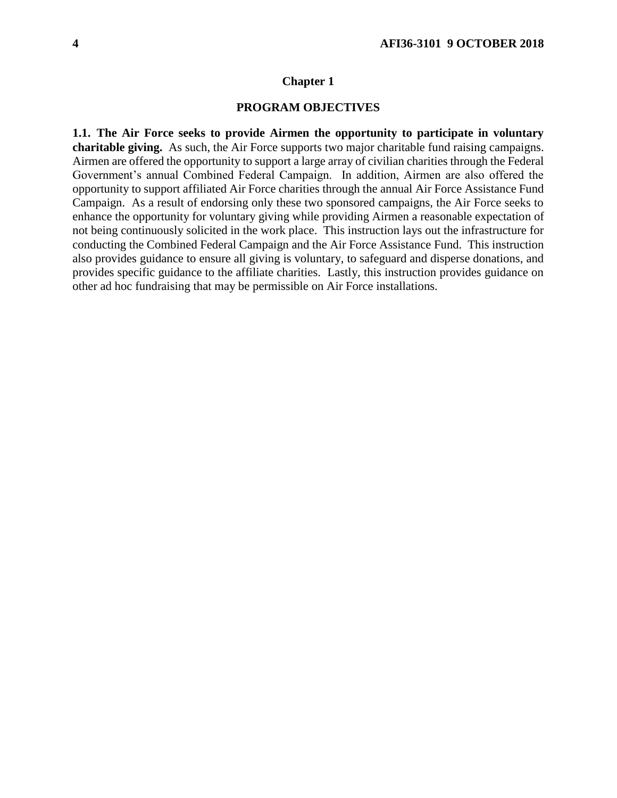#### **Chapter 1**

### **PROGRAM OBJECTIVES**

<span id="page-3-1"></span><span id="page-3-0"></span>**1.1. The Air Force seeks to provide Airmen the opportunity to participate in voluntary charitable giving.** As such, the Air Force supports two major charitable fund raising campaigns. Airmen are offered the opportunity to support a large array of civilian charities through the Federal Government's annual Combined Federal Campaign. In addition, Airmen are also offered the opportunity to support affiliated Air Force charities through the annual Air Force Assistance Fund Campaign. As a result of endorsing only these two sponsored campaigns, the Air Force seeks to enhance the opportunity for voluntary giving while providing Airmen a reasonable expectation of not being continuously solicited in the work place. This instruction lays out the infrastructure for conducting the Combined Federal Campaign and the Air Force Assistance Fund. This instruction also provides guidance to ensure all giving is voluntary, to safeguard and disperse donations, and provides specific guidance to the affiliate charities. Lastly, this instruction provides guidance on other ad hoc fundraising that may be permissible on Air Force installations.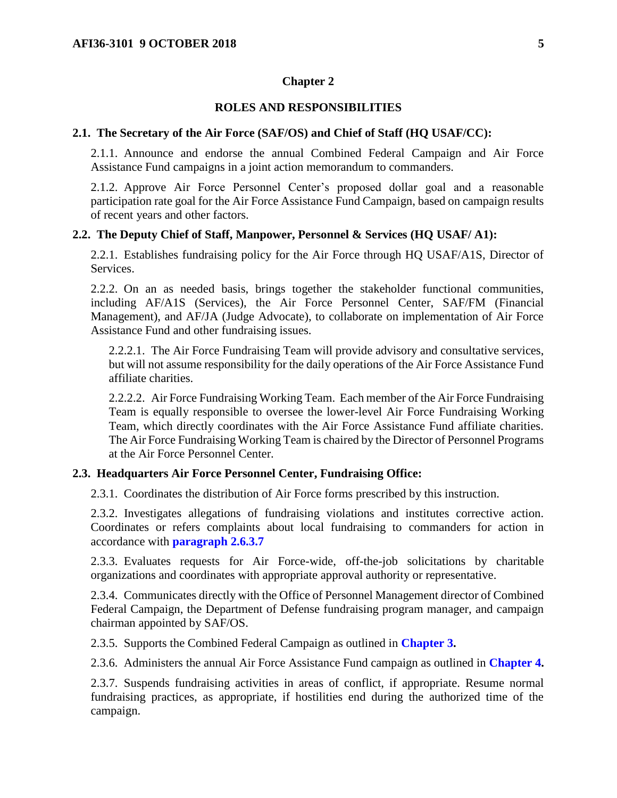#### **Chapter 2**

#### **ROLES AND RESPONSIBILITIES**

#### <span id="page-4-1"></span><span id="page-4-0"></span>**2.1. The Secretary of the Air Force (SAF/OS) and Chief of Staff (HQ USAF/CC):**

2.1.1. Announce and endorse the annual Combined Federal Campaign and Air Force Assistance Fund campaigns in a joint action memorandum to commanders.

2.1.2. Approve Air Force Personnel Center's proposed dollar goal and a reasonable participation rate goal for the Air Force Assistance Fund Campaign, based on campaign results of recent years and other factors.

#### <span id="page-4-2"></span>**2.2. The Deputy Chief of Staff, Manpower, Personnel & Services (HQ USAF/ A1):**

2.2.1. Establishes fundraising policy for the Air Force through HQ USAF/A1S, Director of Services.

2.2.2. On an as needed basis, brings together the stakeholder functional communities, including AF/A1S (Services), the Air Force Personnel Center, SAF/FM (Financial Management), and AF/JA (Judge Advocate), to collaborate on implementation of Air Force Assistance Fund and other fundraising issues.

2.2.2.1. The Air Force Fundraising Team will provide advisory and consultative services, but will not assume responsibility for the daily operations of the Air Force Assistance Fund affiliate charities.

2.2.2.2. Air Force Fundraising Working Team. Each member of the Air Force Fundraising Team is equally responsible to oversee the lower-level Air Force Fundraising Working Team, which directly coordinates with the Air Force Assistance Fund affiliate charities. The Air Force Fundraising Working Team is chaired by the Director of Personnel Programs at the Air Force Personnel Center.

#### <span id="page-4-3"></span>**2.3. Headquarters Air Force Personnel Center, Fundraising Office:**

2.3.1. Coordinates the distribution of Air Force forms prescribed by this instruction.

2.3.2. Investigates allegations of fundraising violations and institutes corrective action. Coordinates or refers complaints about local fundraising to commanders for action in accordance with **[paragraph 2.6.3.7](#page-6-0)**

2.3.3. Evaluates requests for Air Force-wide, off-the-job solicitations by charitable organizations and coordinates with appropriate approval authority or representative.

2.3.4. Communicates directly with the Office of Personnel Management director of Combined Federal Campaign, the Department of Defense fundraising program manager, and campaign chairman appointed by SAF/OS.

2.3.5. Supports the Combined Federal Campaign as outlined in **[Chapter 3.](#page-8-0)**

2.3.6. Administers the annual Air Force Assistance Fund campaign as outlined in **[Chapter 4.](#page-13-0)** 

2.3.7. Suspends fundraising activities in areas of conflict, if appropriate. Resume normal fundraising practices, as appropriate, if hostilities end during the authorized time of the campaign.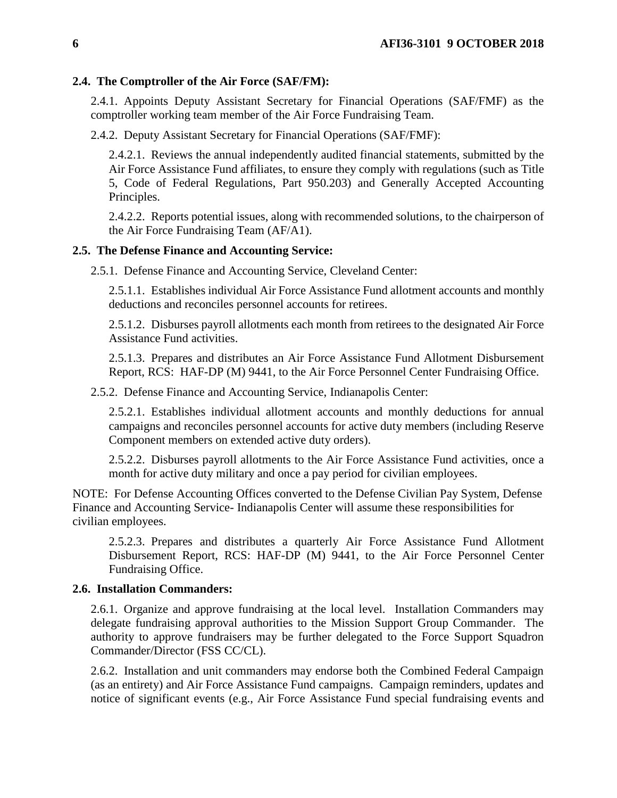#### <span id="page-5-0"></span>**2.4. The Comptroller of the Air Force (SAF/FM):**

2.4.1. Appoints Deputy Assistant Secretary for Financial Operations (SAF/FMF) as the comptroller working team member of the Air Force Fundraising Team.

2.4.2. Deputy Assistant Secretary for Financial Operations (SAF/FMF):

2.4.2.1. Reviews the annual independently audited financial statements, submitted by the Air Force Assistance Fund affiliates, to ensure they comply with regulations (such as Title 5, Code of Federal Regulations, Part 950.203) and Generally Accepted Accounting Principles.

2.4.2.2. Reports potential issues, along with recommended solutions, to the chairperson of the Air Force Fundraising Team (AF/A1).

### <span id="page-5-1"></span>**2.5. The Defense Finance and Accounting Service:**

2.5.1. Defense Finance and Accounting Service, Cleveland Center:

2.5.1.1. Establishes individual Air Force Assistance Fund allotment accounts and monthly deductions and reconciles personnel accounts for retirees.

2.5.1.2. Disburses payroll allotments each month from retirees to the designated Air Force Assistance Fund activities.

2.5.1.3. Prepares and distributes an Air Force Assistance Fund Allotment Disbursement Report, RCS: HAF-DP (M) 9441, to the Air Force Personnel Center Fundraising Office.

2.5.2. Defense Finance and Accounting Service, Indianapolis Center:

2.5.2.1. Establishes individual allotment accounts and monthly deductions for annual campaigns and reconciles personnel accounts for active duty members (including Reserve Component members on extended active duty orders).

2.5.2.2. Disburses payroll allotments to the Air Force Assistance Fund activities, once a month for active duty military and once a pay period for civilian employees.

NOTE: For Defense Accounting Offices converted to the Defense Civilian Pay System, Defense Finance and Accounting Service- Indianapolis Center will assume these responsibilities for civilian employees.

2.5.2.3. Prepares and distributes a quarterly Air Force Assistance Fund Allotment Disbursement Report, RCS: HAF-DP (M) 9441, to the Air Force Personnel Center Fundraising Office.

#### <span id="page-5-2"></span>**2.6. Installation Commanders:**

2.6.1. Organize and approve fundraising at the local level. Installation Commanders may delegate fundraising approval authorities to the Mission Support Group Commander. The authority to approve fundraisers may be further delegated to the Force Support Squadron Commander/Director (FSS CC/CL).

2.6.2. Installation and unit commanders may endorse both the Combined Federal Campaign (as an entirety) and Air Force Assistance Fund campaigns. Campaign reminders, updates and notice of significant events (e.g., Air Force Assistance Fund special fundraising events and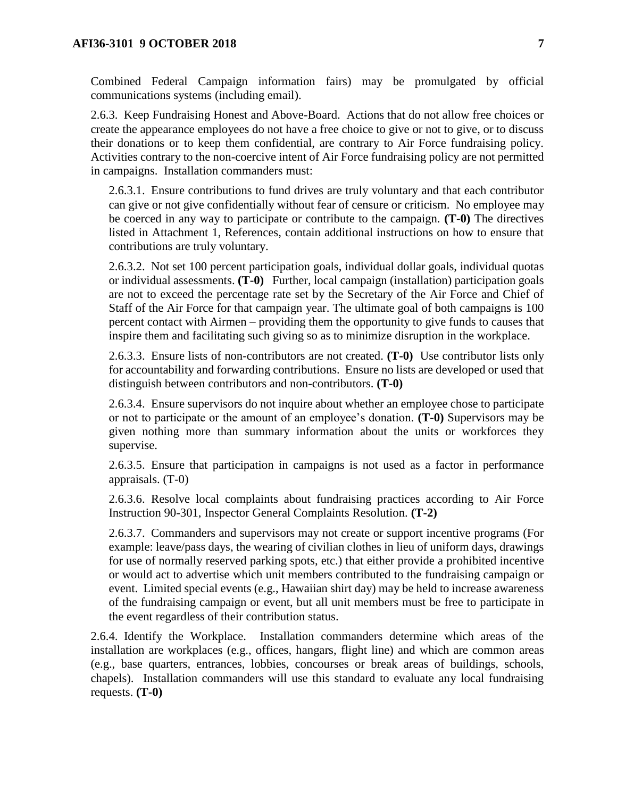Combined Federal Campaign information fairs) may be promulgated by official communications systems (including email).

2.6.3. Keep Fundraising Honest and Above-Board. Actions that do not allow free choices or create the appearance employees do not have a free choice to give or not to give, or to discuss their donations or to keep them confidential, are contrary to Air Force fundraising policy. Activities contrary to the non-coercive intent of Air Force fundraising policy are not permitted in campaigns. Installation commanders must:

2.6.3.1. Ensure contributions to fund drives are truly voluntary and that each contributor can give or not give confidentially without fear of censure or criticism. No employee may be coerced in any way to participate or contribute to the campaign. **(T-0)** The directives listed in Attachment 1, References, contain additional instructions on how to ensure that contributions are truly voluntary.

2.6.3.2. Not set 100 percent participation goals, individual dollar goals, individual quotas or individual assessments. **(T-0)** Further, local campaign (installation) participation goals are not to exceed the percentage rate set by the Secretary of the Air Force and Chief of Staff of the Air Force for that campaign year. The ultimate goal of both campaigns is 100 percent contact with Airmen – providing them the opportunity to give funds to causes that inspire them and facilitating such giving so as to minimize disruption in the workplace.

2.6.3.3. Ensure lists of non-contributors are not created. **(T-0)** Use contributor lists only for accountability and forwarding contributions. Ensure no lists are developed or used that distinguish between contributors and non-contributors. **(T-0)**

2.6.3.4. Ensure supervisors do not inquire about whether an employee chose to participate or not to participate or the amount of an employee's donation. **(T-0)** Supervisors may be given nothing more than summary information about the units or workforces they supervise.

2.6.3.5. Ensure that participation in campaigns is not used as a factor in performance appraisals. (T-0)

2.6.3.6. Resolve local complaints about fundraising practices according to Air Force Instruction 90-301, Inspector General Complaints Resolution. **(T-2)** 

<span id="page-6-0"></span>2.6.3.7. Commanders and supervisors may not create or support incentive programs (For example: leave/pass days, the wearing of civilian clothes in lieu of uniform days, drawings for use of normally reserved parking spots, etc.) that either provide a prohibited incentive or would act to advertise which unit members contributed to the fundraising campaign or event. Limited special events (e.g., Hawaiian shirt day) may be held to increase awareness of the fundraising campaign or event, but all unit members must be free to participate in the event regardless of their contribution status.

2.6.4. Identify the Workplace. Installation commanders determine which areas of the installation are workplaces (e.g., offices, hangars, flight line) and which are common areas (e.g., base quarters, entrances, lobbies, concourses or break areas of buildings, schools, chapels). Installation commanders will use this standard to evaluate any local fundraising requests. **(T-0)**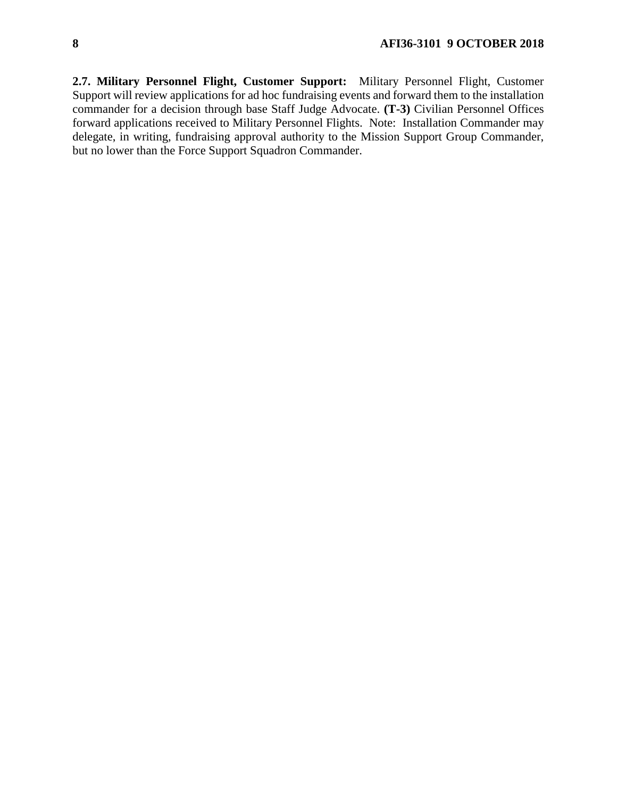<span id="page-7-0"></span>**2.7. Military Personnel Flight, Customer Support:** Military Personnel Flight, Customer Support will review applications for ad hoc fundraising events and forward them to the installation commander for a decision through base Staff Judge Advocate. **(T-3)** Civilian Personnel Offices forward applications received to Military Personnel Flights. Note: Installation Commander may delegate, in writing, fundraising approval authority to the Mission Support Group Commander, but no lower than the Force Support Squadron Commander.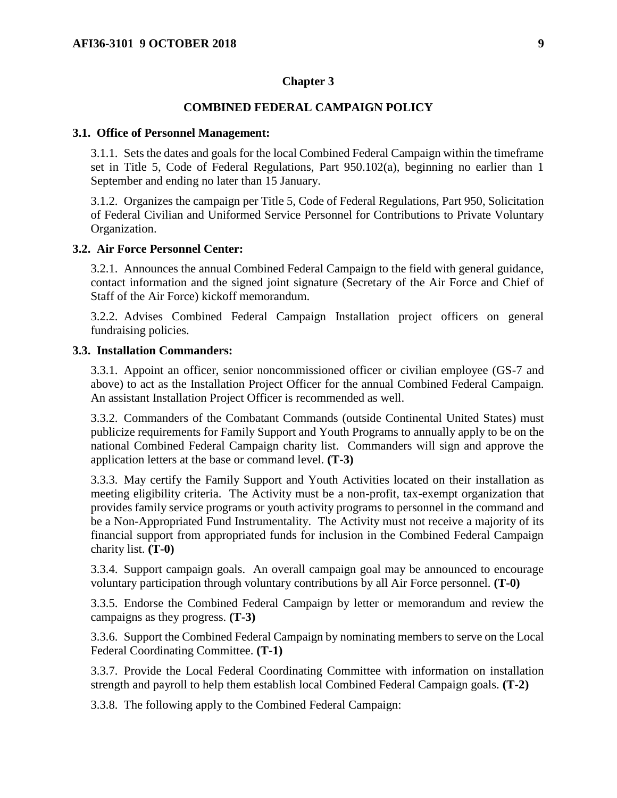#### **Chapter 3**

### **COMBINED FEDERAL CAMPAIGN POLICY**

#### <span id="page-8-1"></span><span id="page-8-0"></span>**3.1. Office of Personnel Management:**

3.1.1. Sets the dates and goals for the local Combined Federal Campaign within the timeframe set in Title 5, Code of Federal Regulations, Part 950.102(a), beginning no earlier than 1 September and ending no later than 15 January.

3.1.2. Organizes the campaign per Title 5, Code of Federal Regulations, Part 950, Solicitation of Federal Civilian and Uniformed Service Personnel for Contributions to Private Voluntary Organization.

#### <span id="page-8-2"></span>**3.2. Air Force Personnel Center:**

3.2.1. Announces the annual Combined Federal Campaign to the field with general guidance, contact information and the signed joint signature (Secretary of the Air Force and Chief of Staff of the Air Force) kickoff memorandum.

3.2.2. Advises Combined Federal Campaign Installation project officers on general fundraising policies.

#### <span id="page-8-3"></span>**3.3. Installation Commanders:**

3.3.1. Appoint an officer, senior noncommissioned officer or civilian employee (GS-7 and above) to act as the Installation Project Officer for the annual Combined Federal Campaign. An assistant Installation Project Officer is recommended as well.

3.3.2. Commanders of the Combatant Commands (outside Continental United States) must publicize requirements for Family Support and Youth Programs to annually apply to be on the national Combined Federal Campaign charity list. Commanders will sign and approve the application letters at the base or command level. **(T-3)**

3.3.3. May certify the Family Support and Youth Activities located on their installation as meeting eligibility criteria. The Activity must be a non-profit, tax-exempt organization that provides family service programs or youth activity programs to personnel in the command and be a Non-Appropriated Fund Instrumentality. The Activity must not receive a majority of its financial support from appropriated funds for inclusion in the Combined Federal Campaign charity list. **(T-0)**

3.3.4. Support campaign goals. An overall campaign goal may be announced to encourage voluntary participation through voluntary contributions by all Air Force personnel. **(T-0)** 

3.3.5. Endorse the Combined Federal Campaign by letter or memorandum and review the campaigns as they progress. **(T-3)**

3.3.6. Support the Combined Federal Campaign by nominating members to serve on the Local Federal Coordinating Committee. **(T-1)**

3.3.7. Provide the Local Federal Coordinating Committee with information on installation strength and payroll to help them establish local Combined Federal Campaign goals. **(T-2)**

3.3.8. The following apply to the Combined Federal Campaign: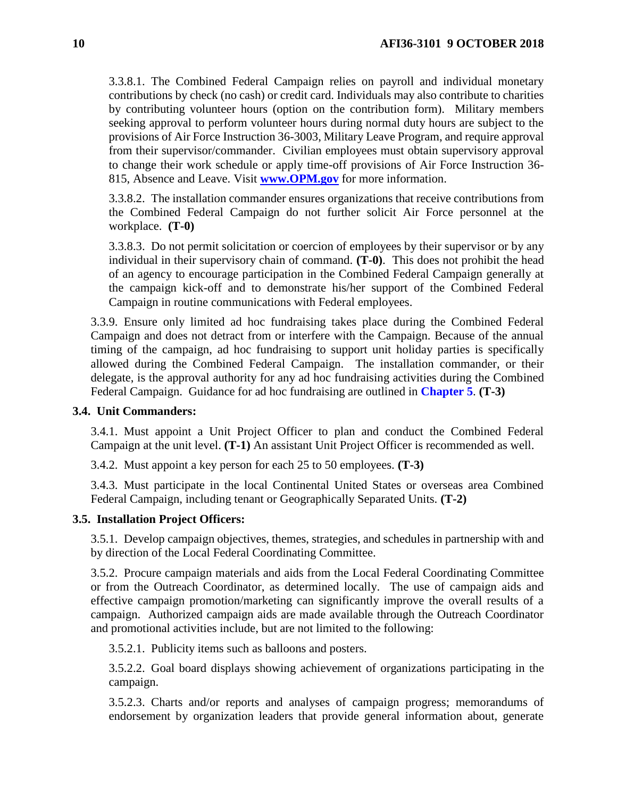3.3.8.1. The Combined Federal Campaign relies on payroll and individual monetary contributions by check (no cash) or credit card. Individuals may also contribute to charities by contributing volunteer hours (option on the contribution form). Military members seeking approval to perform volunteer hours during normal duty hours are subject to the provisions of Air Force Instruction 36-3003, Military Leave Program, and require approval from their supervisor/commander. Civilian employees must obtain supervisory approval to change their work schedule or apply time-off provisions of Air Force Instruction 36- 815, Absence and Leave. Visit **[www.OPM.gov](http://www.opm.gov/)** for more information.

3.3.8.2. The installation commander ensures organizations that receive contributions from the Combined Federal Campaign do not further solicit Air Force personnel at the workplace. **(T-0)**

3.3.8.3. Do not permit solicitation or coercion of employees by their supervisor or by any individual in their supervisory chain of command. **(T-0)**. This does not prohibit the head of an agency to encourage participation in the Combined Federal Campaign generally at the campaign kick-off and to demonstrate his/her support of the Combined Federal Campaign in routine communications with Federal employees.

3.3.9. Ensure only limited ad hoc fundraising takes place during the Combined Federal Campaign and does not detract from or interfere with the Campaign. Because of the annual timing of the campaign, ad hoc fundraising to support unit holiday parties is specifically allowed during the Combined Federal Campaign. The installation commander, or their delegate, is the approval authority for any ad hoc fundraising activities during the Combined Federal Campaign. Guidance for ad hoc fundraising are outlined in **[Chapter 5](#page-22-0)**. **(T-3)**

#### <span id="page-9-0"></span>**3.4. Unit Commanders:**

3.4.1. Must appoint a Unit Project Officer to plan and conduct the Combined Federal Campaign at the unit level. **(T-1)** An assistant Unit Project Officer is recommended as well.

3.4.2. Must appoint a key person for each 25 to 50 employees. **(T-3)**

3.4.3. Must participate in the local Continental United States or overseas area Combined Federal Campaign, including tenant or Geographically Separated Units. **(T-2)**

#### <span id="page-9-1"></span>**3.5. Installation Project Officers:**

3.5.1. Develop campaign objectives, themes, strategies, and schedules in partnership with and by direction of the Local Federal Coordinating Committee.

3.5.2. Procure campaign materials and aids from the Local Federal Coordinating Committee or from the Outreach Coordinator, as determined locally. The use of campaign aids and effective campaign promotion/marketing can significantly improve the overall results of a campaign. Authorized campaign aids are made available through the Outreach Coordinator and promotional activities include, but are not limited to the following:

3.5.2.1. Publicity items such as balloons and posters.

3.5.2.2. Goal board displays showing achievement of organizations participating in the campaign.

3.5.2.3. Charts and/or reports and analyses of campaign progress; memorandums of endorsement by organization leaders that provide general information about, generate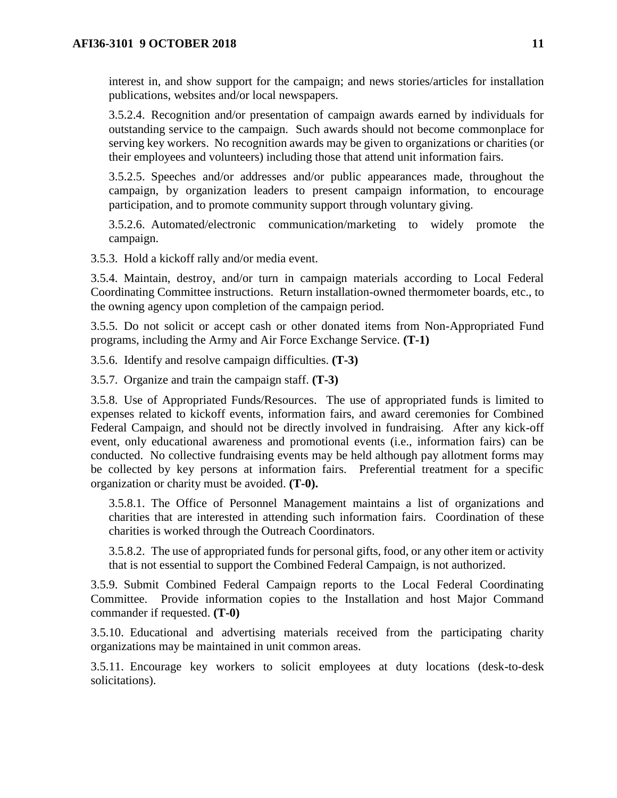interest in, and show support for the campaign; and news stories/articles for installation publications, websites and/or local newspapers.

3.5.2.4. Recognition and/or presentation of campaign awards earned by individuals for outstanding service to the campaign. Such awards should not become commonplace for serving key workers. No recognition awards may be given to organizations or charities (or their employees and volunteers) including those that attend unit information fairs.

3.5.2.5. Speeches and/or addresses and/or public appearances made, throughout the campaign, by organization leaders to present campaign information, to encourage participation, and to promote community support through voluntary giving.

3.5.2.6. Automated/electronic communication/marketing to widely promote the campaign.

3.5.3. Hold a kickoff rally and/or media event.

3.5.4. Maintain, destroy, and/or turn in campaign materials according to Local Federal Coordinating Committee instructions. Return installation-owned thermometer boards, etc., to the owning agency upon completion of the campaign period.

3.5.5. Do not solicit or accept cash or other donated items from Non-Appropriated Fund programs, including the Army and Air Force Exchange Service. **(T-1)**

3.5.6. Identify and resolve campaign difficulties. **(T-3)**

3.5.7. Organize and train the campaign staff. **(T-3)**

3.5.8. Use of Appropriated Funds/Resources. The use of appropriated funds is limited to expenses related to kickoff events, information fairs, and award ceremonies for Combined Federal Campaign, and should not be directly involved in fundraising. After any kick-off event, only educational awareness and promotional events (i.e., information fairs) can be conducted. No collective fundraising events may be held although pay allotment forms may be collected by key persons at information fairs. Preferential treatment for a specific organization or charity must be avoided. **(T-0).** 

3.5.8.1. The Office of Personnel Management maintains a list of organizations and charities that are interested in attending such information fairs. Coordination of these charities is worked through the Outreach Coordinators.

3.5.8.2. The use of appropriated funds for personal gifts, food, or any other item or activity that is not essential to support the Combined Federal Campaign, is not authorized.

3.5.9. Submit Combined Federal Campaign reports to the Local Federal Coordinating Committee. Provide information copies to the Installation and host Major Command commander if requested. **(T-0)**

3.5.10. Educational and advertising materials received from the participating charity organizations may be maintained in unit common areas.

<span id="page-10-0"></span>3.5.11. Encourage key workers to solicit employees at duty locations (desk-to-desk solicitations).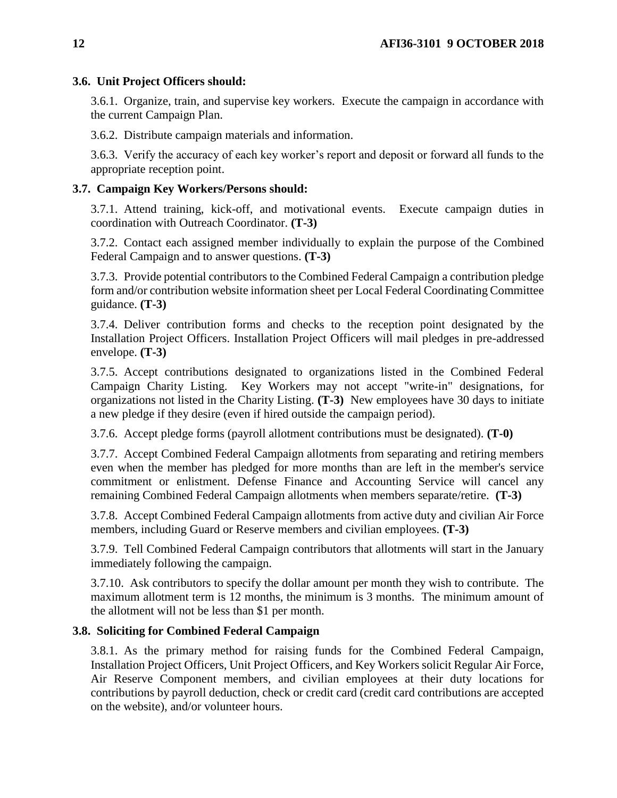## **3.6. Unit Project Officers should:**

3.6.1. Organize, train, and supervise key workers. Execute the campaign in accordance with the current Campaign Plan.

3.6.2. Distribute campaign materials and information.

3.6.3. Verify the accuracy of each key worker's report and deposit or forward all funds to the appropriate reception point.

## <span id="page-11-0"></span>**3.7. Campaign Key Workers/Persons should:**

3.7.1. Attend training, kick-off, and motivational events. Execute campaign duties in coordination with Outreach Coordinator. **(T-3)**

3.7.2. Contact each assigned member individually to explain the purpose of the Combined Federal Campaign and to answer questions. **(T-3)**

3.7.3. Provide potential contributors to the Combined Federal Campaign a contribution pledge form and/or contribution website information sheet per Local Federal Coordinating Committee guidance. **(T-3)**

3.7.4. Deliver contribution forms and checks to the reception point designated by the Installation Project Officers. Installation Project Officers will mail pledges in pre-addressed envelope. **(T-3)**

3.7.5. Accept contributions designated to organizations listed in the Combined Federal Campaign Charity Listing. Key Workers may not accept "write-in" designations, for organizations not listed in the Charity Listing. **(T-3)** New employees have 30 days to initiate a new pledge if they desire (even if hired outside the campaign period).

3.7.6. Accept pledge forms (payroll allotment contributions must be designated). **(T-0)**

3.7.7. Accept Combined Federal Campaign allotments from separating and retiring members even when the member has pledged for more months than are left in the member's service commitment or enlistment. Defense Finance and Accounting Service will cancel any remaining Combined Federal Campaign allotments when members separate/retire. **(T-3)**

3.7.8. Accept Combined Federal Campaign allotments from active duty and civilian Air Force members, including Guard or Reserve members and civilian employees. **(T-3)** 

3.7.9. Tell Combined Federal Campaign contributors that allotments will start in the January immediately following the campaign.

3.7.10. Ask contributors to specify the dollar amount per month they wish to contribute. The maximum allotment term is 12 months, the minimum is 3 months. The minimum amount of the allotment will not be less than \$1 per month.

## <span id="page-11-1"></span>**3.8. Soliciting for Combined Federal Campaign**

3.8.1. As the primary method for raising funds for the Combined Federal Campaign, Installation Project Officers, Unit Project Officers, and Key Workers solicit Regular Air Force, Air Reserve Component members, and civilian employees at their duty locations for contributions by payroll deduction, check or credit card (credit card contributions are accepted on the website), and/or volunteer hours.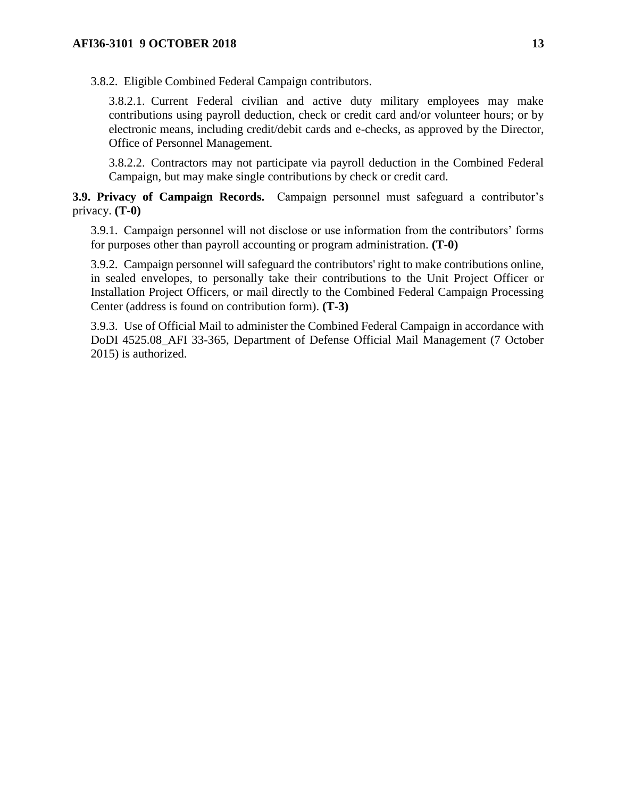3.8.2. Eligible Combined Federal Campaign contributors.

3.8.2.1. Current Federal civilian and active duty military employees may make contributions using payroll deduction, check or credit card and/or volunteer hours; or by electronic means, including credit/debit cards and e-checks, as approved by the Director, Office of Personnel Management.

3.8.2.2. Contractors may not participate via payroll deduction in the Combined Federal Campaign, but may make single contributions by check or credit card.

<span id="page-12-0"></span>**3.9. Privacy of Campaign Records.** Campaign personnel must safeguard a contributor's privacy. **(T-0)**

3.9.1. Campaign personnel will not disclose or use information from the contributors' forms for purposes other than payroll accounting or program administration. **(T-0)**

3.9.2. Campaign personnel will safeguard the contributors' right to make contributions online, in sealed envelopes, to personally take their contributions to the Unit Project Officer or Installation Project Officers, or mail directly to the Combined Federal Campaign Processing Center (address is found on contribution form). **(T-3)**

3.9.3. Use of Official Mail to administer the Combined Federal Campaign in accordance with DoDI 4525.08\_AFI 33-365, Department of Defense Official Mail Management (7 October 2015) is authorized.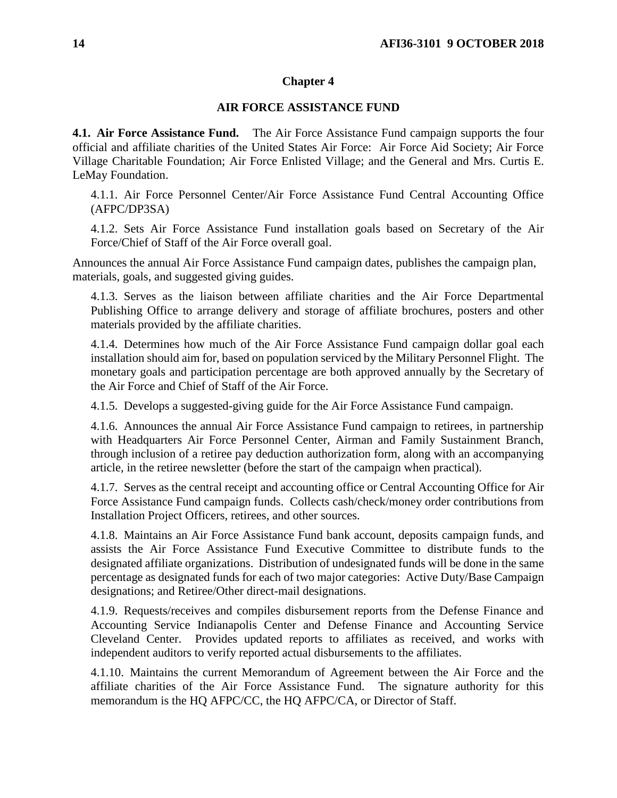## **Chapter 4**

## **AIR FORCE ASSISTANCE FUND**

<span id="page-13-1"></span><span id="page-13-0"></span>**4.1. Air Force Assistance Fund.** The Air Force Assistance Fund campaign supports the four official and affiliate charities of the United States Air Force: Air Force Aid Society; Air Force Village Charitable Foundation; Air Force Enlisted Village; and the General and Mrs. Curtis E. LeMay Foundation.

4.1.1. Air Force Personnel Center/Air Force Assistance Fund Central Accounting Office (AFPC/DP3SA)

4.1.2. Sets Air Force Assistance Fund installation goals based on Secretary of the Air Force/Chief of Staff of the Air Force overall goal.

Announces the annual Air Force Assistance Fund campaign dates, publishes the campaign plan, materials, goals, and suggested giving guides.

4.1.3. Serves as the liaison between affiliate charities and the Air Force Departmental Publishing Office to arrange delivery and storage of affiliate brochures, posters and other materials provided by the affiliate charities.

4.1.4. Determines how much of the Air Force Assistance Fund campaign dollar goal each installation should aim for, based on population serviced by the Military Personnel Flight. The monetary goals and participation percentage are both approved annually by the Secretary of the Air Force and Chief of Staff of the Air Force.

4.1.5. Develops a suggested-giving guide for the Air Force Assistance Fund campaign.

4.1.6. Announces the annual Air Force Assistance Fund campaign to retirees, in partnership with Headquarters Air Force Personnel Center, Airman and Family Sustainment Branch, through inclusion of a retiree pay deduction authorization form, along with an accompanying article, in the retiree newsletter (before the start of the campaign when practical).

4.1.7. Serves as the central receipt and accounting office or Central Accounting Office for Air Force Assistance Fund campaign funds. Collects cash/check/money order contributions from Installation Project Officers, retirees, and other sources.

4.1.8. Maintains an Air Force Assistance Fund bank account, deposits campaign funds, and assists the Air Force Assistance Fund Executive Committee to distribute funds to the designated affiliate organizations. Distribution of undesignated funds will be done in the same percentage as designated funds for each of two major categories: Active Duty/Base Campaign designations; and Retiree/Other direct-mail designations.

4.1.9. Requests/receives and compiles disbursement reports from the Defense Finance and Accounting Service Indianapolis Center and Defense Finance and Accounting Service Cleveland Center. Provides updated reports to affiliates as received, and works with independent auditors to verify reported actual disbursements to the affiliates.

4.1.10. Maintains the current Memorandum of Agreement between the Air Force and the affiliate charities of the Air Force Assistance Fund. The signature authority for this memorandum is the HQ AFPC/CC, the HQ AFPC/CA, or Director of Staff.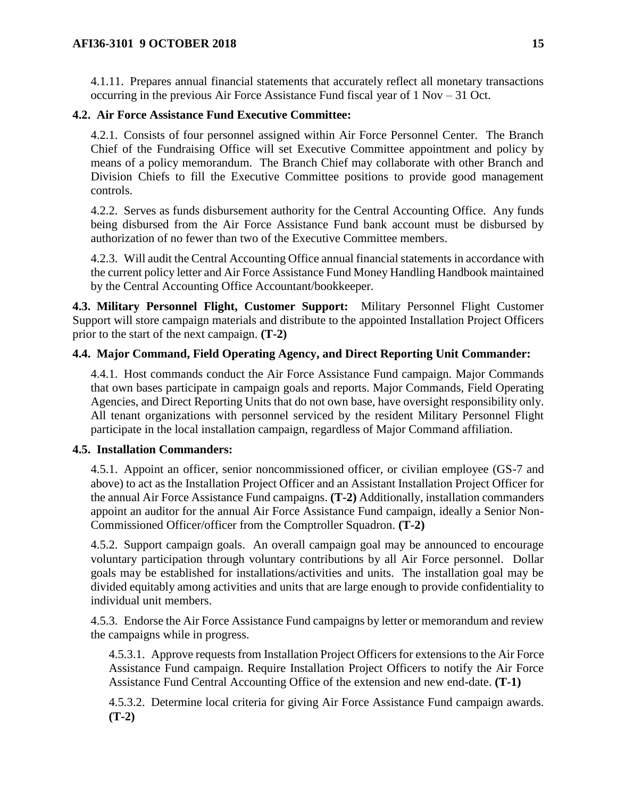4.1.11. Prepares annual financial statements that accurately reflect all monetary transactions occurring in the previous Air Force Assistance Fund fiscal year of 1 Nov – 31 Oct.

## <span id="page-14-0"></span>**4.2. Air Force Assistance Fund Executive Committee:**

4.2.1. Consists of four personnel assigned within Air Force Personnel Center. The Branch Chief of the Fundraising Office will set Executive Committee appointment and policy by means of a policy memorandum. The Branch Chief may collaborate with other Branch and Division Chiefs to fill the Executive Committee positions to provide good management controls.

4.2.2. Serves as funds disbursement authority for the Central Accounting Office. Any funds being disbursed from the Air Force Assistance Fund bank account must be disbursed by authorization of no fewer than two of the Executive Committee members.

4.2.3. Will audit the Central Accounting Office annual financial statements in accordance with the current policy letter and Air Force Assistance Fund Money Handling Handbook maintained by the Central Accounting Office Accountant/bookkeeper.

<span id="page-14-1"></span>**4.3. Military Personnel Flight, Customer Support:** Military Personnel Flight Customer Support will store campaign materials and distribute to the appointed Installation Project Officers prior to the start of the next campaign. **(T-2)**

## <span id="page-14-2"></span>**4.4. Major Command, Field Operating Agency, and Direct Reporting Unit Commander:**

4.4.1. Host commands conduct the Air Force Assistance Fund campaign. Major Commands that own bases participate in campaign goals and reports. Major Commands, Field Operating Agencies, and Direct Reporting Units that do not own base, have oversight responsibility only. All tenant organizations with personnel serviced by the resident Military Personnel Flight participate in the local installation campaign, regardless of Major Command affiliation.

### <span id="page-14-3"></span>**4.5. Installation Commanders:**

4.5.1. Appoint an officer, senior noncommissioned officer, or civilian employee (GS-7 and above) to act as the Installation Project Officer and an Assistant Installation Project Officer for the annual Air Force Assistance Fund campaigns. **(T-2)** Additionally, installation commanders appoint an auditor for the annual Air Force Assistance Fund campaign, ideally a Senior Non-Commissioned Officer/officer from the Comptroller Squadron. **(T-2)** 

4.5.2. Support campaign goals. An overall campaign goal may be announced to encourage voluntary participation through voluntary contributions by all Air Force personnel. Dollar goals may be established for installations/activities and units. The installation goal may be divided equitably among activities and units that are large enough to provide confidentiality to individual unit members.

4.5.3. Endorse the Air Force Assistance Fund campaigns by letter or memorandum and review the campaigns while in progress.

4.5.3.1. Approve requests from Installation Project Officers for extensions to the Air Force Assistance Fund campaign. Require Installation Project Officers to notify the Air Force Assistance Fund Central Accounting Office of the extension and new end-date. **(T-1)**

4.5.3.2. Determine local criteria for giving Air Force Assistance Fund campaign awards. **(T-2)**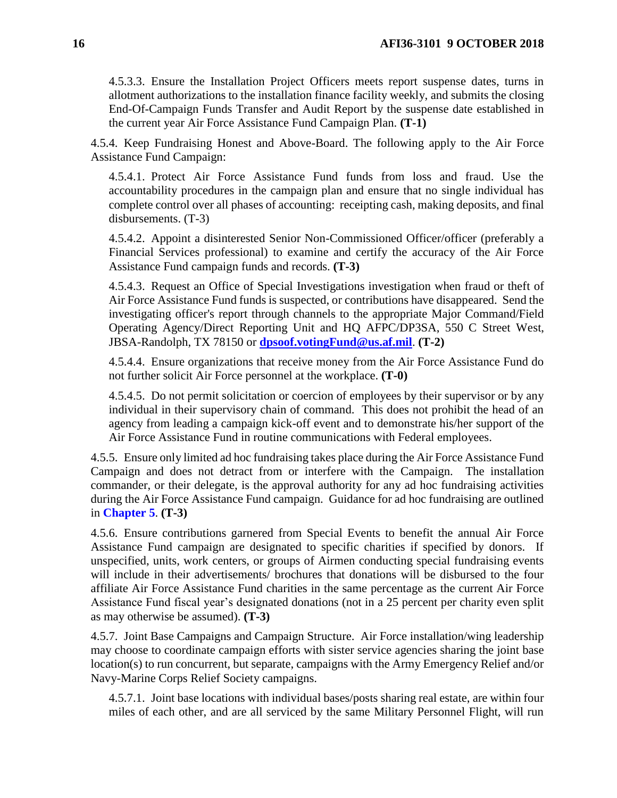4.5.3.3. Ensure the Installation Project Officers meets report suspense dates, turns in allotment authorizations to the installation finance facility weekly, and submits the closing End-Of-Campaign Funds Transfer and Audit Report by the suspense date established in the current year Air Force Assistance Fund Campaign Plan. **(T-1)**

4.5.4. Keep Fundraising Honest and Above-Board. The following apply to the Air Force Assistance Fund Campaign:

4.5.4.1. Protect Air Force Assistance Fund funds from loss and fraud. Use the accountability procedures in the campaign plan and ensure that no single individual has complete control over all phases of accounting: receipting cash, making deposits, and final disbursements. (T-3)

4.5.4.2. Appoint a disinterested Senior Non-Commissioned Officer/officer (preferably a Financial Services professional) to examine and certify the accuracy of the Air Force Assistance Fund campaign funds and records. **(T-3)**

4.5.4.3. Request an Office of Special Investigations investigation when fraud or theft of Air Force Assistance Fund funds is suspected, or contributions have disappeared. Send the investigating officer's report through channels to the appropriate Major Command/Field Operating Agency/Direct Reporting Unit and HQ AFPC/DP3SA, 550 C Street West, JBSA-Randolph, TX 78150 or **[dpsoof.votingFund@us.af.mil](mailto:dpsoof.votingFund@us.af.mil)**. **(T-2)**

4.5.4.4. Ensure organizations that receive money from the Air Force Assistance Fund do not further solicit Air Force personnel at the workplace. **(T-0)**

4.5.4.5. Do not permit solicitation or coercion of employees by their supervisor or by any individual in their supervisory chain of command. This does not prohibit the head of an agency from leading a campaign kick-off event and to demonstrate his/her support of the Air Force Assistance Fund in routine communications with Federal employees.

4.5.5. Ensure only limited ad hoc fundraising takes place during the Air Force Assistance Fund Campaign and does not detract from or interfere with the Campaign. The installation commander, or their delegate, is the approval authority for any ad hoc fundraising activities during the Air Force Assistance Fund campaign. Guidance for ad hoc fundraising are outlined in **[Chapter 5](#page-22-0)**. **(T-3)** 

4.5.6. Ensure contributions garnered from Special Events to benefit the annual Air Force Assistance Fund campaign are designated to specific charities if specified by donors. If unspecified, units, work centers, or groups of Airmen conducting special fundraising events will include in their advertisements/ brochures that donations will be disbursed to the four affiliate Air Force Assistance Fund charities in the same percentage as the current Air Force Assistance Fund fiscal year's designated donations (not in a 25 percent per charity even split as may otherwise be assumed). **(T-3)**

4.5.7. Joint Base Campaigns and Campaign Structure. Air Force installation/wing leadership may choose to coordinate campaign efforts with sister service agencies sharing the joint base location(s) to run concurrent, but separate, campaigns with the Army Emergency Relief and/or Navy-Marine Corps Relief Society campaigns.

4.5.7.1. Joint base locations with individual bases/posts sharing real estate, are within four miles of each other, and are all serviced by the same Military Personnel Flight, will run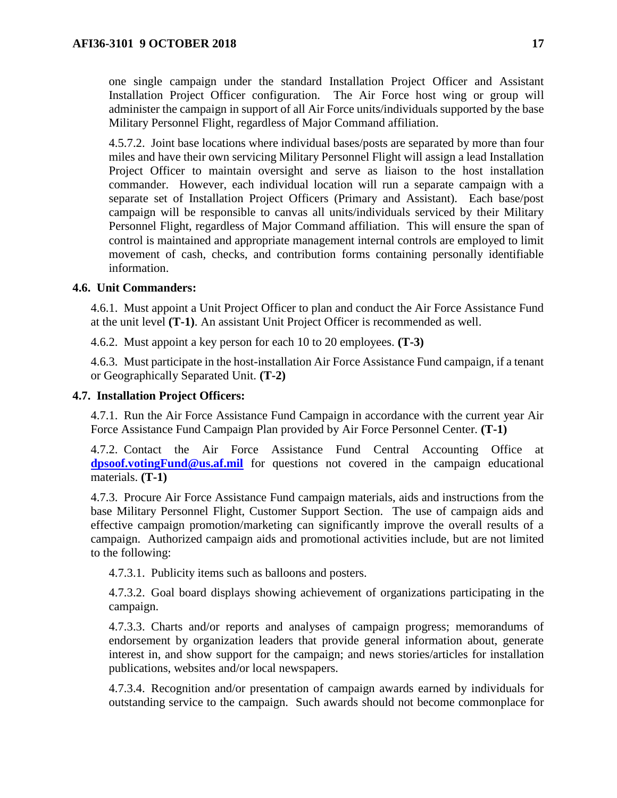one single campaign under the standard Installation Project Officer and Assistant Installation Project Officer configuration. The Air Force host wing or group will administer the campaign in support of all Air Force units/individuals supported by the base Military Personnel Flight, regardless of Major Command affiliation.

4.5.7.2. Joint base locations where individual bases/posts are separated by more than four miles and have their own servicing Military Personnel Flight will assign a lead Installation Project Officer to maintain oversight and serve as liaison to the host installation commander. However, each individual location will run a separate campaign with a separate set of Installation Project Officers (Primary and Assistant). Each base/post campaign will be responsible to canvas all units/individuals serviced by their Military Personnel Flight, regardless of Major Command affiliation. This will ensure the span of control is maintained and appropriate management internal controls are employed to limit movement of cash, checks, and contribution forms containing personally identifiable information.

### <span id="page-16-0"></span>**4.6. Unit Commanders:**

4.6.1. Must appoint a Unit Project Officer to plan and conduct the Air Force Assistance Fund at the unit level **(T-1)**. An assistant Unit Project Officer is recommended as well.

4.6.2. Must appoint a key person for each 10 to 20 employees. **(T-3)**

4.6.3. Must participate in the host-installation Air Force Assistance Fund campaign, if a tenant or Geographically Separated Unit. **(T-2)**

### <span id="page-16-1"></span>**4.7. Installation Project Officers:**

4.7.1. Run the Air Force Assistance Fund Campaign in accordance with the current year Air Force Assistance Fund Campaign Plan provided by Air Force Personnel Center. **(T-1)**

4.7.2. Contact the Air Force Assistance Fund Central Accounting Office at **[dpsoof.votingFund@us.af.mil](mailto:dpsoof.votingFund@us.af.mil)** for questions not covered in the campaign educational materials. **(T-1)**

4.7.3. Procure Air Force Assistance Fund campaign materials, aids and instructions from the base Military Personnel Flight, Customer Support Section. The use of campaign aids and effective campaign promotion/marketing can significantly improve the overall results of a campaign. Authorized campaign aids and promotional activities include, but are not limited to the following:

4.7.3.1. Publicity items such as balloons and posters.

4.7.3.2. Goal board displays showing achievement of organizations participating in the campaign.

4.7.3.3. Charts and/or reports and analyses of campaign progress; memorandums of endorsement by organization leaders that provide general information about, generate interest in, and show support for the campaign; and news stories/articles for installation publications, websites and/or local newspapers.

4.7.3.4. Recognition and/or presentation of campaign awards earned by individuals for outstanding service to the campaign. Such awards should not become commonplace for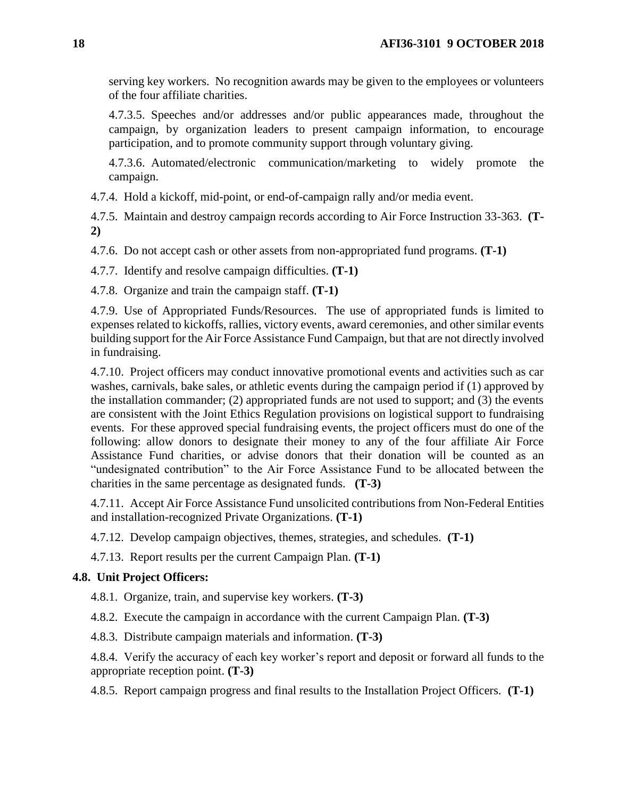serving key workers. No recognition awards may be given to the employees or volunteers of the four affiliate charities.

4.7.3.5. Speeches and/or addresses and/or public appearances made, throughout the campaign, by organization leaders to present campaign information, to encourage participation, and to promote community support through voluntary giving.

4.7.3.6. Automated/electronic communication/marketing to widely promote the campaign.

4.7.4. Hold a kickoff, mid-point, or end-of-campaign rally and/or media event.

4.7.5. Maintain and destroy campaign records according to Air Force Instruction 33-363. **(T-2)**

4.7.6. Do not accept cash or other assets from non-appropriated fund programs. **(T-1)** 

4.7.7. Identify and resolve campaign difficulties. **(T-1)**

4.7.8. Organize and train the campaign staff. **(T-1)**

4.7.9. Use of Appropriated Funds/Resources. The use of appropriated funds is limited to expenses related to kickoffs, rallies, victory events, award ceremonies, and other similar events building support for the Air Force Assistance Fund Campaign, but that are not directly involved in fundraising.

4.7.10. Project officers may conduct innovative promotional events and activities such as car washes, carnivals, bake sales, or athletic events during the campaign period if (1) approved by the installation commander; (2) appropriated funds are not used to support; and (3) the events are consistent with the Joint Ethics Regulation provisions on logistical support to fundraising events. For these approved special fundraising events, the project officers must do one of the following: allow donors to designate their money to any of the four affiliate Air Force Assistance Fund charities, or advise donors that their donation will be counted as an "undesignated contribution" to the Air Force Assistance Fund to be allocated between the charities in the same percentage as designated funds. **(T-3)** 

4.7.11. Accept Air Force Assistance Fund unsolicited contributions from Non-Federal Entities and installation-recognized Private Organizations. **(T-1)**

4.7.12. Develop campaign objectives, themes, strategies, and schedules. **(T-1)**

4.7.13. Report results per the current Campaign Plan. **(T-1)**

## <span id="page-17-0"></span>**4.8. Unit Project Officers:**

4.8.1. Organize, train, and supervise key workers. **(T-3)** 

4.8.2. Execute the campaign in accordance with the current Campaign Plan. **(T-3)**

4.8.3. Distribute campaign materials and information. **(T-3)**

4.8.4. Verify the accuracy of each key worker's report and deposit or forward all funds to the appropriate reception point. **(T-3)**

4.8.5. Report campaign progress and final results to the Installation Project Officers. **(T-1)**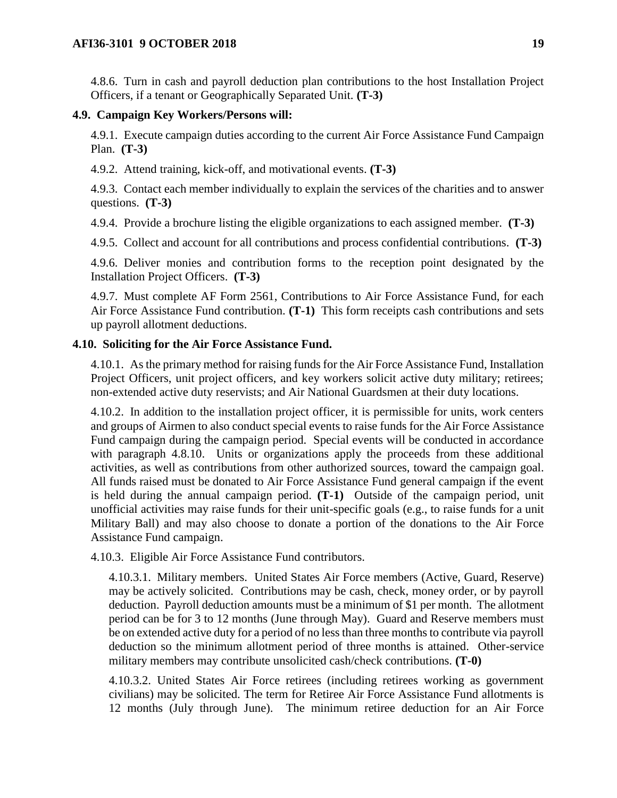4.8.6. Turn in cash and payroll deduction plan contributions to the host Installation Project Officers, if a tenant or Geographically Separated Unit. **(T-3)**

### <span id="page-18-0"></span>**4.9. Campaign Key Workers/Persons will:**

4.9.1. Execute campaign duties according to the current Air Force Assistance Fund Campaign Plan. **(T-3)**

4.9.2. Attend training, kick-off, and motivational events. **(T-3)**

4.9.3. Contact each member individually to explain the services of the charities and to answer questions. **(T-3)**

4.9.4. Provide a brochure listing the eligible organizations to each assigned member. **(T-3)**

4.9.5. Collect and account for all contributions and process confidential contributions. **(T-3)**

4.9.6. Deliver monies and contribution forms to the reception point designated by the Installation Project Officers. **(T-3)**

4.9.7. Must complete AF Form 2561, Contributions to Air Force Assistance Fund, for each Air Force Assistance Fund contribution. **(T-1)** This form receipts cash contributions and sets up payroll allotment deductions.

### <span id="page-18-1"></span>**4.10. Soliciting for the Air Force Assistance Fund.**

4.10.1. As the primary method for raising funds for the Air Force Assistance Fund, Installation Project Officers, unit project officers, and key workers solicit active duty military; retirees; non-extended active duty reservists; and Air National Guardsmen at their duty locations.

4.10.2. In addition to the installation project officer, it is permissible for units, work centers and groups of Airmen to also conduct special events to raise funds for the Air Force Assistance Fund campaign during the campaign period. Special events will be conducted in accordance with paragraph 4.8.10. Units or organizations apply the proceeds from these additional activities, as well as contributions from other authorized sources, toward the campaign goal. All funds raised must be donated to Air Force Assistance Fund general campaign if the event is held during the annual campaign period. **(T-1)** Outside of the campaign period, unit unofficial activities may raise funds for their unit-specific goals (e.g., to raise funds for a unit Military Ball) and may also choose to donate a portion of the donations to the Air Force Assistance Fund campaign.

4.10.3. Eligible Air Force Assistance Fund contributors.

4.10.3.1. Military members. United States Air Force members (Active, Guard, Reserve) may be actively solicited. Contributions may be cash, check, money order, or by payroll deduction. Payroll deduction amounts must be a minimum of \$1 per month. The allotment period can be for 3 to 12 months (June through May). Guard and Reserve members must be on extended active duty for a period of no less than three months to contribute via payroll deduction so the minimum allotment period of three months is attained. Other-service military members may contribute unsolicited cash/check contributions. **(T-0)**

4.10.3.2. United States Air Force retirees (including retirees working as government civilians) may be solicited. The term for Retiree Air Force Assistance Fund allotments is 12 months (July through June). The minimum retiree deduction for an Air Force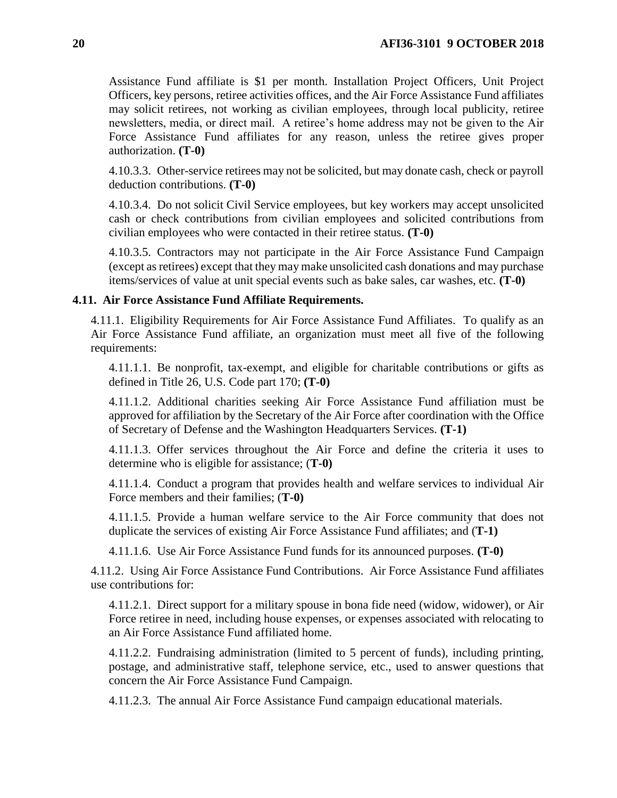Assistance Fund affiliate is \$1 per month. Installation Project Officers, Unit Project Officers, key persons, retiree activities offices, and the Air Force Assistance Fund affiliates may solicit retirees, not working as civilian employees, through local publicity, retiree newsletters, media, or direct mail. A retiree's home address may not be given to the Air Force Assistance Fund affiliates for any reason, unless the retiree gives proper authorization. **(T-0)**

4.10.3.3. Other-service retirees may not be solicited, but may donate cash, check or payroll deduction contributions. **(T-0)**

4.10.3.4. Do not solicit Civil Service employees, but key workers may accept unsolicited cash or check contributions from civilian employees and solicited contributions from civilian employees who were contacted in their retiree status. **(T-0)**

4.10.3.5. Contractors may not participate in the Air Force Assistance Fund Campaign (except as retirees) except that they may make unsolicited cash donations and may purchase items/services of value at unit special events such as bake sales, car washes, etc. **(T-0)**

### <span id="page-19-0"></span>**4.11. Air Force Assistance Fund Affiliate Requirements.**

4.11.1. Eligibility Requirements for Air Force Assistance Fund Affiliates. To qualify as an Air Force Assistance Fund affiliate, an organization must meet all five of the following requirements:

4.11.1.1. Be nonprofit, tax-exempt, and eligible for charitable contributions or gifts as defined in Title 26, U.S. Code part 170; **(T-0)**

4.11.1.2. Additional charities seeking Air Force Assistance Fund affiliation must be approved for affiliation by the Secretary of the Air Force after coordination with the Office of Secretary of Defense and the Washington Headquarters Services. **(T-1)**

4.11.1.3. Offer services throughout the Air Force and define the criteria it uses to determine who is eligible for assistance; (**T-0)**

4.11.1.4. Conduct a program that provides health and welfare services to individual Air Force members and their families; (**T-0)**

4.11.1.5. Provide a human welfare service to the Air Force community that does not duplicate the services of existing Air Force Assistance Fund affiliates; and (**T-1)**

4.11.1.6. Use Air Force Assistance Fund funds for its announced purposes. **(T-0)**

4.11.2. Using Air Force Assistance Fund Contributions. Air Force Assistance Fund affiliates use contributions for:

4.11.2.1. Direct support for a military spouse in bona fide need (widow, widower), or Air Force retiree in need, including house expenses, or expenses associated with relocating to an Air Force Assistance Fund affiliated home.

4.11.2.2. Fundraising administration (limited to 5 percent of funds), including printing, postage, and administrative staff, telephone service, etc., used to answer questions that concern the Air Force Assistance Fund Campaign.

4.11.2.3. The annual Air Force Assistance Fund campaign educational materials.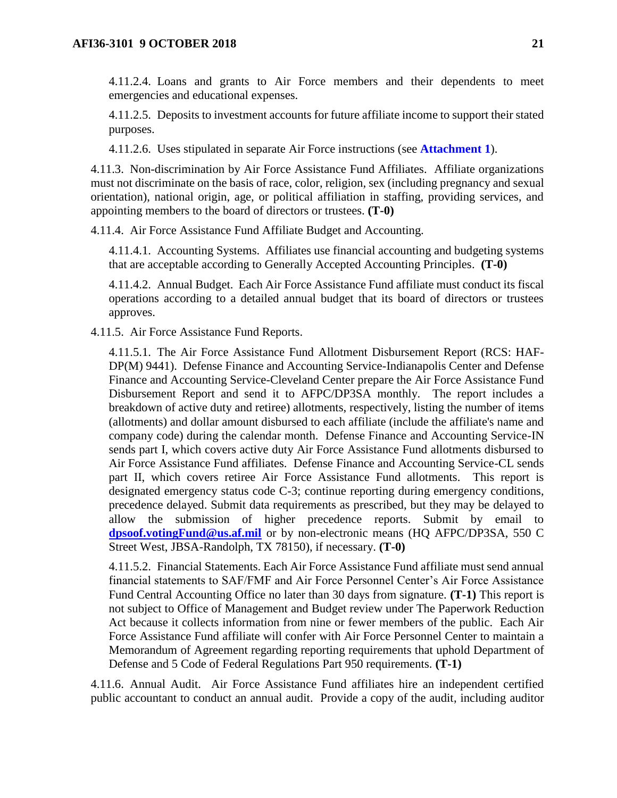4.11.2.4. Loans and grants to Air Force members and their dependents to meet emergencies and educational expenses.

4.11.2.5. Deposits to investment accounts for future affiliate income to support their stated purposes.

4.11.2.6. Uses stipulated in separate Air Force instructions (see **[Attachment 1](#page-27-0)**).

4.11.3. Non-discrimination by Air Force Assistance Fund Affiliates. Affiliate organizations must not discriminate on the basis of race, color, religion, sex (including pregnancy and sexual orientation), national origin, age, or political affiliation in staffing, providing services, and appointing members to the board of directors or trustees. **(T-0)**

4.11.4. Air Force Assistance Fund Affiliate Budget and Accounting.

4.11.4.1. Accounting Systems. Affiliates use financial accounting and budgeting systems that are acceptable according to Generally Accepted Accounting Principles. **(T-0)**

4.11.4.2. Annual Budget. Each Air Force Assistance Fund affiliate must conduct its fiscal operations according to a detailed annual budget that its board of directors or trustees approves.

4.11.5. Air Force Assistance Fund Reports.

4.11.5.1. The Air Force Assistance Fund Allotment Disbursement Report (RCS: HAF-DP(M) 9441). Defense Finance and Accounting Service-Indianapolis Center and Defense Finance and Accounting Service-Cleveland Center prepare the Air Force Assistance Fund Disbursement Report and send it to AFPC/DP3SA monthly. The report includes a breakdown of active duty and retiree) allotments, respectively, listing the number of items (allotments) and dollar amount disbursed to each affiliate (include the affiliate's name and company code) during the calendar month. Defense Finance and Accounting Service-IN sends part I, which covers active duty Air Force Assistance Fund allotments disbursed to Air Force Assistance Fund affiliates. Defense Finance and Accounting Service-CL sends part II, which covers retiree Air Force Assistance Fund allotments. This report is designated emergency status code C-3; continue reporting during emergency conditions, precedence delayed. Submit data requirements as prescribed, but they may be delayed to allow the submission of higher precedence reports. Submit by email to **[dpsoof.votingFund@us.af.mil](mailto:dpsoof.votingFund@us.af.mil)** or by non-electronic means (HQ AFPC/DP3SA, 550 C Street West, JBSA-Randolph, TX 78150), if necessary. **(T-0)**

4.11.5.2. Financial Statements. Each Air Force Assistance Fund affiliate must send annual financial statements to SAF/FMF and Air Force Personnel Center's Air Force Assistance Fund Central Accounting Office no later than 30 days from signature. **(T-1)** This report is not subject to Office of Management and Budget review under The Paperwork Reduction Act because it collects information from nine or fewer members of the public. Each Air Force Assistance Fund affiliate will confer with Air Force Personnel Center to maintain a Memorandum of Agreement regarding reporting requirements that uphold Department of Defense and 5 Code of Federal Regulations Part 950 requirements. **(T-1)**

4.11.6. Annual Audit. Air Force Assistance Fund affiliates hire an independent certified public accountant to conduct an annual audit. Provide a copy of the audit, including auditor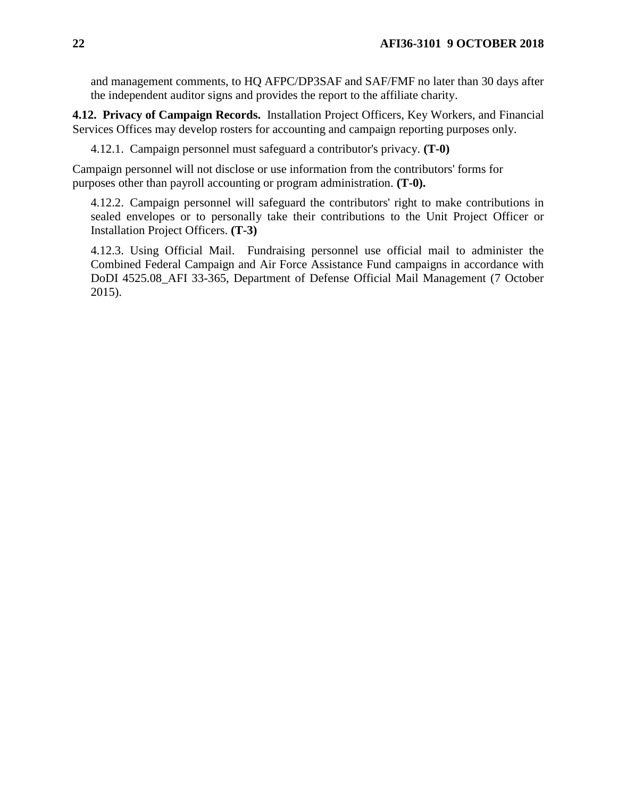and management comments, to HQ AFPC/DP3SAF and SAF/FMF no later than 30 days after the independent auditor signs and provides the report to the affiliate charity.

<span id="page-21-0"></span>**4.12. Privacy of Campaign Records.** Installation Project Officers, Key Workers, and Financial Services Offices may develop rosters for accounting and campaign reporting purposes only.

4.12.1. Campaign personnel must safeguard a contributor's privacy. **(T-0)**

Campaign personnel will not disclose or use information from the contributors' forms for purposes other than payroll accounting or program administration. **(T-0).**

4.12.2. Campaign personnel will safeguard the contributors' right to make contributions in sealed envelopes or to personally take their contributions to the Unit Project Officer or Installation Project Officers. **(T-3)**

4.12.3. Using Official Mail. Fundraising personnel use official mail to administer the Combined Federal Campaign and Air Force Assistance Fund campaigns in accordance with DoDI 4525.08\_AFI 33-365, Department of Defense Official Mail Management (7 October 2015).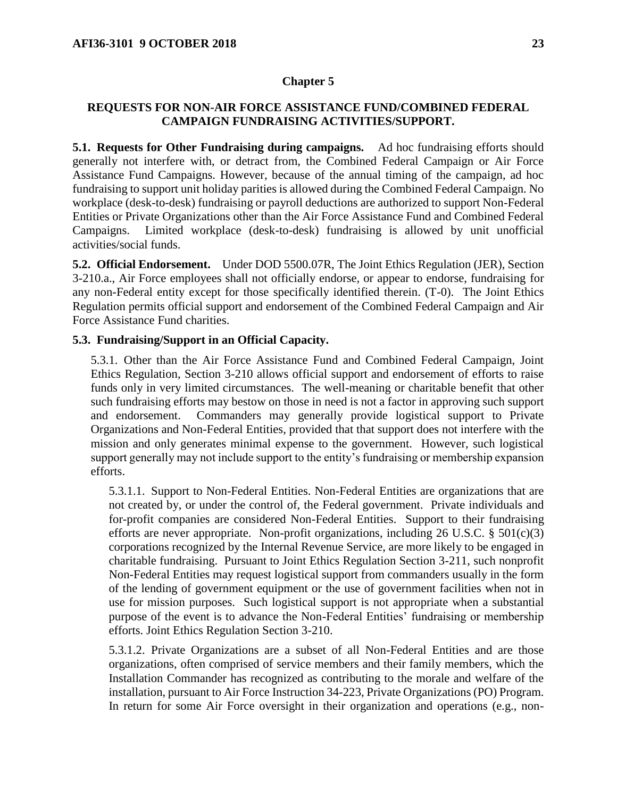#### **Chapter 5**

### <span id="page-22-0"></span>**REQUESTS FOR NON-AIR FORCE ASSISTANCE FUND/COMBINED FEDERAL CAMPAIGN FUNDRAISING ACTIVITIES/SUPPORT.**

<span id="page-22-1"></span>**5.1. Requests for Other Fundraising during campaigns.** Ad hoc fundraising efforts should generally not interfere with, or detract from, the Combined Federal Campaign or Air Force Assistance Fund Campaigns. However, because of the annual timing of the campaign, ad hoc fundraising to support unit holiday parities is allowed during the Combined Federal Campaign. No workplace (desk-to-desk) fundraising or payroll deductions are authorized to support Non-Federal Entities or Private Organizations other than the Air Force Assistance Fund and Combined Federal Campaigns. Limited workplace (desk-to-desk) fundraising is allowed by unit unofficial activities/social funds.

<span id="page-22-2"></span>**5.2. Official Endorsement.** Under DOD 5500.07R, The Joint Ethics Regulation (JER), Section 3-210.a., Air Force employees shall not officially endorse, or appear to endorse, fundraising for any non-Federal entity except for those specifically identified therein. (T-0). The Joint Ethics Regulation permits official support and endorsement of the Combined Federal Campaign and Air Force Assistance Fund charities.

### <span id="page-22-3"></span>**5.3. Fundraising/Support in an Official Capacity.**

5.3.1. Other than the Air Force Assistance Fund and Combined Federal Campaign, Joint Ethics Regulation, Section 3-210 allows official support and endorsement of efforts to raise funds only in very limited circumstances. The well-meaning or charitable benefit that other such fundraising efforts may bestow on those in need is not a factor in approving such support and endorsement. Commanders may generally provide logistical support to Private Organizations and Non-Federal Entities, provided that that support does not interfere with the mission and only generates minimal expense to the government. However, such logistical support generally may not include support to the entity's fundraising or membership expansion efforts.

5.3.1.1. Support to Non-Federal Entities. Non-Federal Entities are organizations that are not created by, or under the control of, the Federal government. Private individuals and for-profit companies are considered Non-Federal Entities. Support to their fundraising efforts are never appropriate. Non-profit organizations, including  $26$  U.S.C. §  $501(c)(3)$ corporations recognized by the Internal Revenue Service, are more likely to be engaged in charitable fundraising. Pursuant to Joint Ethics Regulation Section 3-211, such nonprofit Non-Federal Entities may request logistical support from commanders usually in the form of the lending of government equipment or the use of government facilities when not in use for mission purposes. Such logistical support is not appropriate when a substantial purpose of the event is to advance the Non-Federal Entities' fundraising or membership efforts. Joint Ethics Regulation Section 3-210.

5.3.1.2. Private Organizations are a subset of all Non-Federal Entities and are those organizations, often comprised of service members and their family members, which the Installation Commander has recognized as contributing to the morale and welfare of the installation, pursuant to Air Force Instruction 34-223, Private Organizations (PO) Program. In return for some Air Force oversight in their organization and operations (e.g., non-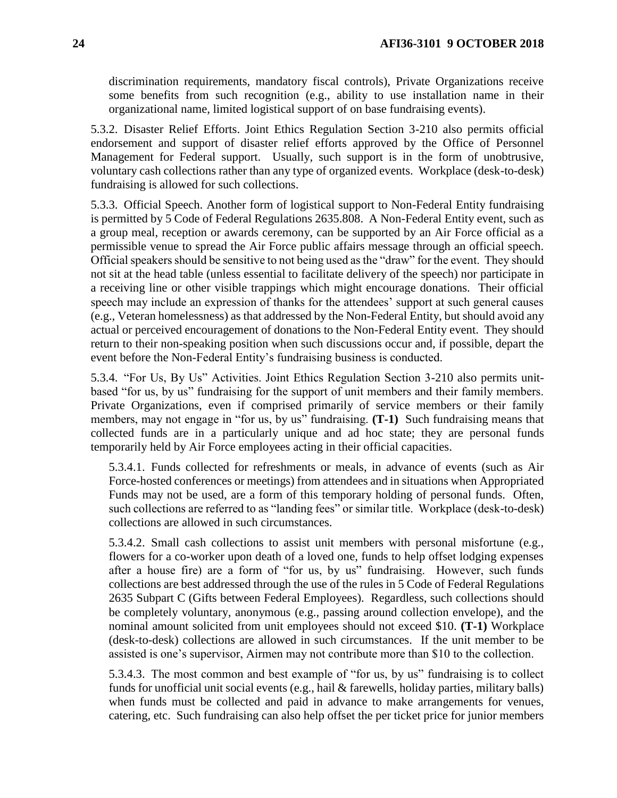discrimination requirements, mandatory fiscal controls), Private Organizations receive some benefits from such recognition (e.g., ability to use installation name in their organizational name, limited logistical support of on base fundraising events).

5.3.2. Disaster Relief Efforts. Joint Ethics Regulation Section 3-210 also permits official endorsement and support of disaster relief efforts approved by the Office of Personnel Management for Federal support. Usually, such support is in the form of unobtrusive, voluntary cash collections rather than any type of organized events. Workplace (desk-to-desk) fundraising is allowed for such collections.

5.3.3. Official Speech. Another form of logistical support to Non-Federal Entity fundraising is permitted by 5 Code of Federal Regulations 2635.808. A Non-Federal Entity event, such as a group meal, reception or awards ceremony, can be supported by an Air Force official as a permissible venue to spread the Air Force public affairs message through an official speech. Official speakers should be sensitive to not being used as the "draw" for the event. They should not sit at the head table (unless essential to facilitate delivery of the speech) nor participate in a receiving line or other visible trappings which might encourage donations. Their official speech may include an expression of thanks for the attendees' support at such general causes (e.g., Veteran homelessness) as that addressed by the Non-Federal Entity, but should avoid any actual or perceived encouragement of donations to the Non-Federal Entity event. They should return to their non-speaking position when such discussions occur and, if possible, depart the event before the Non-Federal Entity's fundraising business is conducted.

5.3.4. "For Us, By Us" Activities. Joint Ethics Regulation Section 3-210 also permits unitbased "for us, by us" fundraising for the support of unit members and their family members. Private Organizations, even if comprised primarily of service members or their family members, may not engage in "for us, by us" fundraising. **(T-1)** Such fundraising means that collected funds are in a particularly unique and ad hoc state; they are personal funds temporarily held by Air Force employees acting in their official capacities.

5.3.4.1. Funds collected for refreshments or meals, in advance of events (such as Air Force-hosted conferences or meetings) from attendees and in situations when Appropriated Funds may not be used, are a form of this temporary holding of personal funds. Often, such collections are referred to as "landing fees" or similar title. Workplace (desk-to-desk) collections are allowed in such circumstances.

5.3.4.2. Small cash collections to assist unit members with personal misfortune (e.g., flowers for a co-worker upon death of a loved one, funds to help offset lodging expenses after a house fire) are a form of "for us, by us" fundraising. However, such funds collections are best addressed through the use of the rules in 5 Code of Federal Regulations 2635 Subpart C (Gifts between Federal Employees). Regardless, such collections should be completely voluntary, anonymous (e.g., passing around collection envelope), and the nominal amount solicited from unit employees should not exceed \$10. **(T-1)** Workplace (desk-to-desk) collections are allowed in such circumstances. If the unit member to be assisted is one's supervisor, Airmen may not contribute more than \$10 to the collection.

5.3.4.3. The most common and best example of "for us, by us" fundraising is to collect funds for unofficial unit social events (e.g., hail & farewells, holiday parties, military balls) when funds must be collected and paid in advance to make arrangements for venues, catering, etc. Such fundraising can also help offset the per ticket price for junior members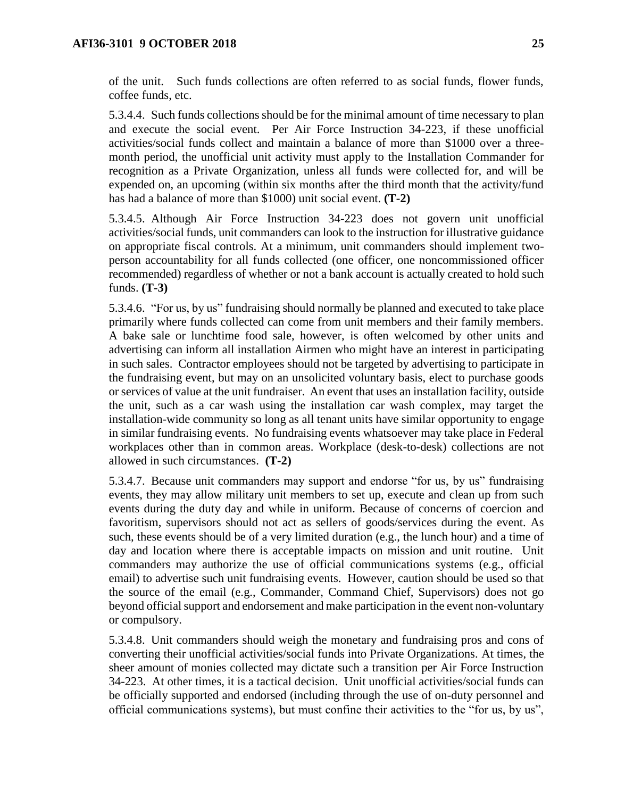of the unit. Such funds collections are often referred to as social funds, flower funds, coffee funds, etc.

5.3.4.4. Such funds collections should be for the minimal amount of time necessary to plan and execute the social event. Per Air Force Instruction 34-223, if these unofficial activities/social funds collect and maintain a balance of more than \$1000 over a threemonth period, the unofficial unit activity must apply to the Installation Commander for recognition as a Private Organization, unless all funds were collected for, and will be expended on, an upcoming (within six months after the third month that the activity/fund has had a balance of more than \$1000) unit social event. **(T-2)** 

5.3.4.5. Although Air Force Instruction 34-223 does not govern unit unofficial activities/social funds, unit commanders can look to the instruction for illustrative guidance on appropriate fiscal controls. At a minimum, unit commanders should implement twoperson accountability for all funds collected (one officer, one noncommissioned officer recommended) regardless of whether or not a bank account is actually created to hold such funds. **(T-3)**

5.3.4.6. "For us, by us" fundraising should normally be planned and executed to take place primarily where funds collected can come from unit members and their family members. A bake sale or lunchtime food sale, however, is often welcomed by other units and advertising can inform all installation Airmen who might have an interest in participating in such sales. Contractor employees should not be targeted by advertising to participate in the fundraising event, but may on an unsolicited voluntary basis, elect to purchase goods or services of value at the unit fundraiser. An event that uses an installation facility, outside the unit, such as a car wash using the installation car wash complex, may target the installation-wide community so long as all tenant units have similar opportunity to engage in similar fundraising events. No fundraising events whatsoever may take place in Federal workplaces other than in common areas. Workplace (desk-to-desk) collections are not allowed in such circumstances. **(T-2)**

5.3.4.7. Because unit commanders may support and endorse "for us, by us" fundraising events, they may allow military unit members to set up, execute and clean up from such events during the duty day and while in uniform. Because of concerns of coercion and favoritism, supervisors should not act as sellers of goods/services during the event. As such, these events should be of a very limited duration (e.g., the lunch hour) and a time of day and location where there is acceptable impacts on mission and unit routine. Unit commanders may authorize the use of official communications systems (e.g., official email) to advertise such unit fundraising events. However, caution should be used so that the source of the email (e.g., Commander, Command Chief, Supervisors) does not go beyond official support and endorsement and make participation in the event non-voluntary or compulsory.

5.3.4.8. Unit commanders should weigh the monetary and fundraising pros and cons of converting their unofficial activities/social funds into Private Organizations. At times, the sheer amount of monies collected may dictate such a transition per Air Force Instruction 34-223. At other times, it is a tactical decision. Unit unofficial activities/social funds can be officially supported and endorsed (including through the use of on-duty personnel and official communications systems), but must confine their activities to the "for us, by us",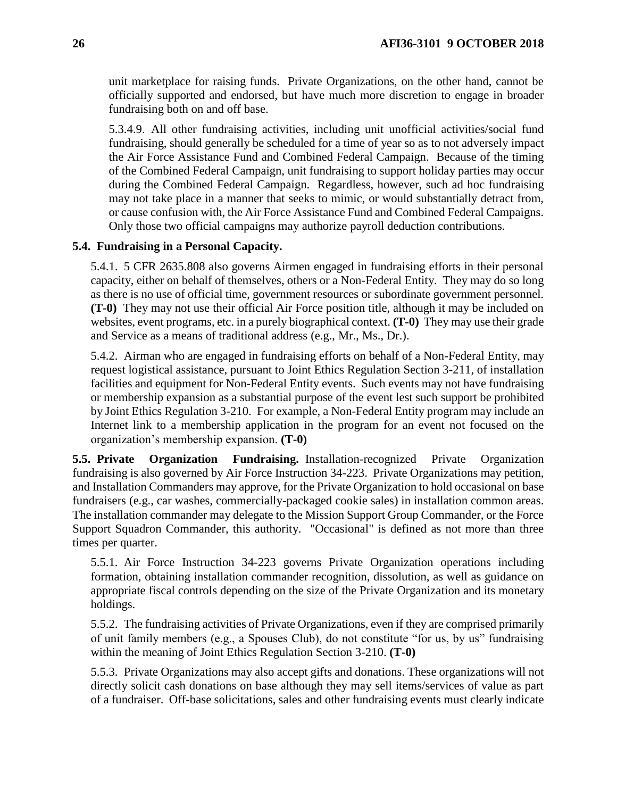unit marketplace for raising funds. Private Organizations, on the other hand, cannot be officially supported and endorsed, but have much more discretion to engage in broader fundraising both on and off base.

5.3.4.9. All other fundraising activities, including unit unofficial activities/social fund fundraising, should generally be scheduled for a time of year so as to not adversely impact the Air Force Assistance Fund and Combined Federal Campaign. Because of the timing of the Combined Federal Campaign, unit fundraising to support holiday parties may occur during the Combined Federal Campaign. Regardless, however, such ad hoc fundraising may not take place in a manner that seeks to mimic, or would substantially detract from, or cause confusion with, the Air Force Assistance Fund and Combined Federal Campaigns. Only those two official campaigns may authorize payroll deduction contributions.

### <span id="page-25-0"></span>**5.4. Fundraising in a Personal Capacity.**

5.4.1. 5 CFR 2635.808 also governs Airmen engaged in fundraising efforts in their personal capacity, either on behalf of themselves, others or a Non-Federal Entity. They may do so long as there is no use of official time, government resources or subordinate government personnel. **(T-0)** They may not use their official Air Force position title, although it may be included on websites, event programs, etc. in a purely biographical context. **(T-0)** They may use their grade and Service as a means of traditional address (e.g., Mr., Ms., Dr.).

5.4.2. Airman who are engaged in fundraising efforts on behalf of a Non-Federal Entity, may request logistical assistance, pursuant to Joint Ethics Regulation Section 3-211, of installation facilities and equipment for Non-Federal Entity events. Such events may not have fundraising or membership expansion as a substantial purpose of the event lest such support be prohibited by Joint Ethics Regulation 3-210. For example, a Non-Federal Entity program may include an Internet link to a membership application in the program for an event not focused on the organization's membership expansion. **(T-0)**

<span id="page-25-1"></span>**5.5. Private Organization Fundraising.** Installation-recognized Private Organization fundraising is also governed by Air Force Instruction 34-223. Private Organizations may petition, and Installation Commanders may approve, for the Private Organization to hold occasional on base fundraisers (e.g., car washes, commercially-packaged cookie sales) in installation common areas. The installation commander may delegate to the Mission Support Group Commander, or the Force Support Squadron Commander, this authority. "Occasional" is defined as not more than three times per quarter.

5.5.1. Air Force Instruction 34-223 governs Private Organization operations including formation, obtaining installation commander recognition, dissolution, as well as guidance on appropriate fiscal controls depending on the size of the Private Organization and its monetary holdings.

5.5.2. The fundraising activities of Private Organizations, even if they are comprised primarily of unit family members (e.g., a Spouses Club), do not constitute "for us, by us" fundraising within the meaning of Joint Ethics Regulation Section 3-210. **(T-0)**

5.5.3. Private Organizations may also accept gifts and donations. These organizations will not directly solicit cash donations on base although they may sell items/services of value as part of a fundraiser. Off-base solicitations, sales and other fundraising events must clearly indicate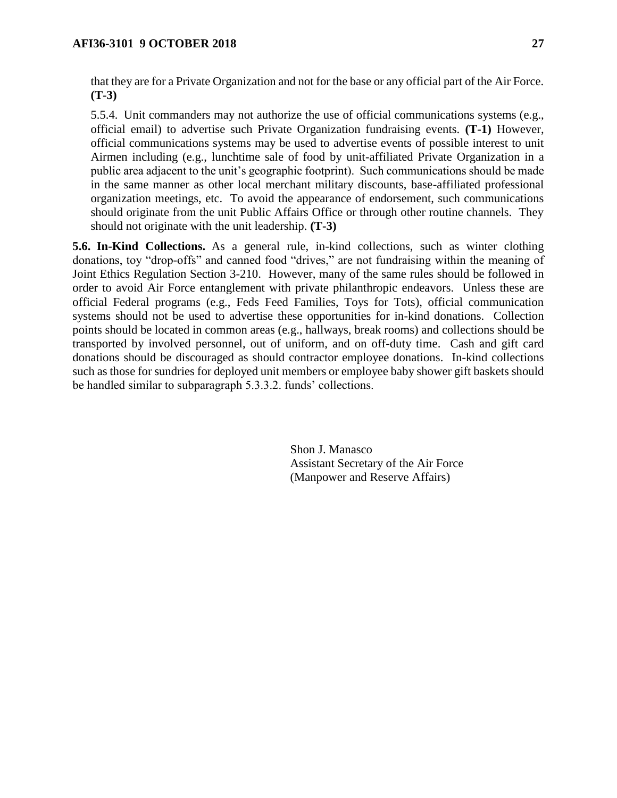that they are for a Private Organization and not for the base or any official part of the Air Force. **(T-3)** 

5.5.4. Unit commanders may not authorize the use of official communications systems (e.g., official email) to advertise such Private Organization fundraising events. **(T-1)** However, official communications systems may be used to advertise events of possible interest to unit Airmen including (e.g., lunchtime sale of food by unit-affiliated Private Organization in a public area adjacent to the unit's geographic footprint). Such communications should be made in the same manner as other local merchant military discounts, base-affiliated professional organization meetings, etc. To avoid the appearance of endorsement, such communications should originate from the unit Public Affairs Office or through other routine channels. They should not originate with the unit leadership. **(T-3)**

<span id="page-26-0"></span>**5.6. In-Kind Collections.** As a general rule, in-kind collections, such as winter clothing donations, toy "drop-offs" and canned food "drives," are not fundraising within the meaning of Joint Ethics Regulation Section 3-210. However, many of the same rules should be followed in order to avoid Air Force entanglement with private philanthropic endeavors. Unless these are official Federal programs (e.g., Feds Feed Families, Toys for Tots), official communication systems should not be used to advertise these opportunities for in-kind donations. Collection points should be located in common areas (e.g., hallways, break rooms) and collections should be transported by involved personnel, out of uniform, and on off-duty time. Cash and gift card donations should be discouraged as should contractor employee donations. In-kind collections such as those for sundries for deployed unit members or employee baby shower gift baskets should be handled similar to subparagraph 5.3.3.2. funds' collections.

> Shon J. Manasco Assistant Secretary of the Air Force (Manpower and Reserve Affairs)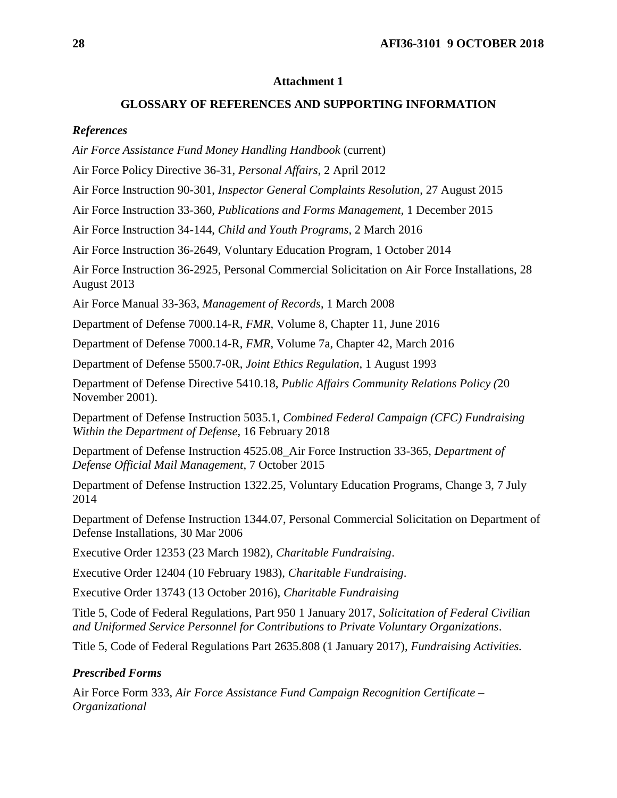#### **Attachment 1**

### **GLOSSARY OF REFERENCES AND SUPPORTING INFORMATION**

#### <span id="page-27-0"></span>*References*

*Air Force Assistance Fund Money Handling Handbook* (current)

Air Force Policy Directive 36-31, *Personal Affairs*, 2 April 2012

Air Force Instruction 90-301, *Inspector General Complaints Resolution*, 27 August 2015

Air Force Instruction 33-360, *Publications and Forms Management,* 1 December 2015

Air Force Instruction 34-144, *Child and Youth Programs*, 2 March 2016

Air Force Instruction 36-2649, Voluntary Education Program, 1 October 2014

Air Force Instruction 36-2925, Personal Commercial Solicitation on Air Force Installations, 28 August 2013

Air Force Manual 33-363, *Management of Records*, 1 March 2008

Department of Defense 7000.14-R, *FMR*, Volume 8, Chapter 11, June 2016

Department of Defense 7000.14-R, *FMR*, Volume 7a, Chapter 42, March 2016

Department of Defense 5500.7-0R, *Joint Ethics Regulation*, 1 August 1993

Department of Defense Directive 5410.18, *Public Affairs Community Relations Policy (*20 November 2001).

Department of Defense Instruction 5035.1, *Combined Federal Campaign (CFC) Fundraising Within the Department of Defense*, 16 February 2018

Department of Defense Instruction 4525.08\_Air Force Instruction 33-365, *Department of Defense Official Mail Management*, 7 October 2015

Department of Defense Instruction 1322.25, Voluntary Education Programs, Change 3, 7 July 2014

Department of Defense Instruction 1344.07, Personal Commercial Solicitation on Department of Defense Installations, 30 Mar 2006

Executive Order 12353 (23 March 1982), *Charitable Fundraising*.

Executive Order 12404 (10 February 1983), *Charitable Fundraising*.

Executive Order 13743 (13 October 2016), *Charitable Fundraising*

Title 5, Code of Federal Regulations, Part 950 1 January 2017, *Solicitation of Federal Civilian and Uniformed Service Personnel for Contributions to Private Voluntary Organizations*.

Title 5, Code of Federal Regulations Part 2635.808 (1 January 2017), *Fundraising Activities.*

### *Prescribed Forms*

Air Force Form 333, *Air Force Assistance Fund Campaign Recognition Certificate – Organizational*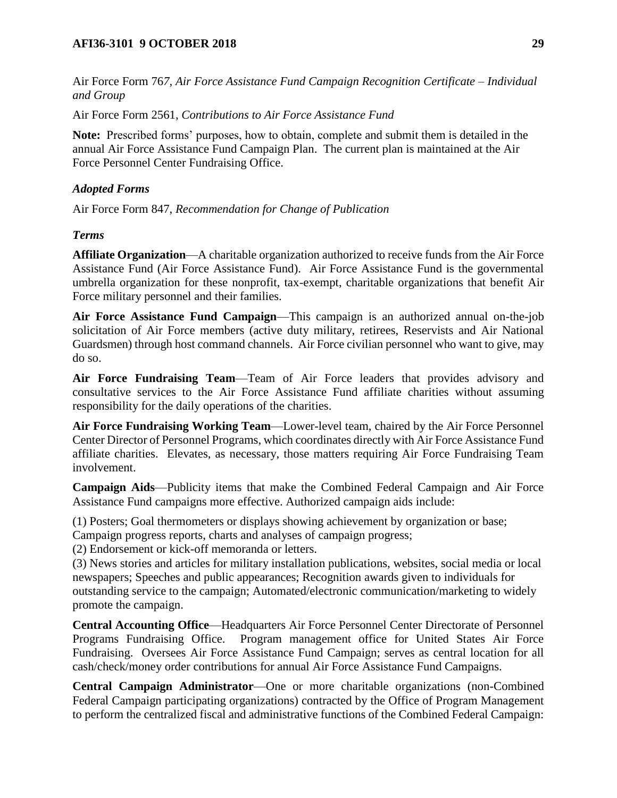Air Force Form 76*7, Air Force Assistance Fund Campaign Recognition Certificate – Individual and Group*

Air Force Form 2561, *Contributions to Air Force Assistance Fund*

**Note:** Prescribed forms' purposes, how to obtain, complete and submit them is detailed in the annual Air Force Assistance Fund Campaign Plan. The current plan is maintained at the Air Force Personnel Center Fundraising Office.

## *Adopted Forms*

Air Force Form 847, *Recommendation for Change of Publication*

### *Terms*

**Affiliate Organization**—A charitable organization authorized to receive funds from the Air Force Assistance Fund (Air Force Assistance Fund). Air Force Assistance Fund is the governmental umbrella organization for these nonprofit, tax-exempt, charitable organizations that benefit Air Force military personnel and their families.

**Air Force Assistance Fund Campaign**—This campaign is an authorized annual on-the-job solicitation of Air Force members (active duty military, retirees, Reservists and Air National Guardsmen) through host command channels. Air Force civilian personnel who want to give, may do so.

**Air Force Fundraising Team**—Team of Air Force leaders that provides advisory and consultative services to the Air Force Assistance Fund affiliate charities without assuming responsibility for the daily operations of the charities.

**Air Force Fundraising Working Team**—Lower-level team, chaired by the Air Force Personnel Center Director of Personnel Programs, which coordinates directly with Air Force Assistance Fund affiliate charities. Elevates, as necessary, those matters requiring Air Force Fundraising Team involvement.

**Campaign Aids**—Publicity items that make the Combined Federal Campaign and Air Force Assistance Fund campaigns more effective. Authorized campaign aids include:

(1) Posters; Goal thermometers or displays showing achievement by organization or base;

Campaign progress reports, charts and analyses of campaign progress;

(2) Endorsement or kick-off memoranda or letters.

(3) News stories and articles for military installation publications, websites, social media or local newspapers; Speeches and public appearances; Recognition awards given to individuals for outstanding service to the campaign; Automated/electronic communication/marketing to widely promote the campaign.

**Central Accounting Office**—Headquarters Air Force Personnel Center Directorate of Personnel Programs Fundraising Office. Program management office for United States Air Force Fundraising. Oversees Air Force Assistance Fund Campaign; serves as central location for all cash/check/money order contributions for annual Air Force Assistance Fund Campaigns.

**Central Campaign Administrator**—One or more charitable organizations (non-Combined Federal Campaign participating organizations) contracted by the Office of Program Management to perform the centralized fiscal and administrative functions of the Combined Federal Campaign: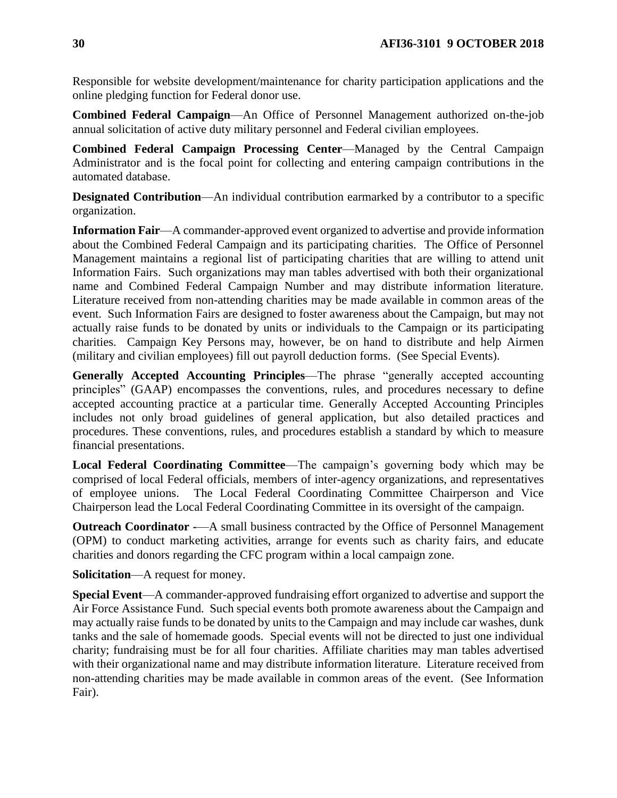Responsible for website development/maintenance for charity participation applications and the online pledging function for Federal donor use.

**Combined Federal Campaign**—An Office of Personnel Management authorized on-the-job annual solicitation of active duty military personnel and Federal civilian employees.

**Combined Federal Campaign Processing Center**—Managed by the Central Campaign Administrator and is the focal point for collecting and entering campaign contributions in the automated database.

**Designated Contribution—An** individual contribution earmarked by a contributor to a specific organization.

**Information Fair**—A commander-approved event organized to advertise and provide information about the Combined Federal Campaign and its participating charities. The Office of Personnel Management maintains a regional list of participating charities that are willing to attend unit Information Fairs. Such organizations may man tables advertised with both their organizational name and Combined Federal Campaign Number and may distribute information literature. Literature received from non-attending charities may be made available in common areas of the event. Such Information Fairs are designed to foster awareness about the Campaign, but may not actually raise funds to be donated by units or individuals to the Campaign or its participating charities. Campaign Key Persons may, however, be on hand to distribute and help Airmen (military and civilian employees) fill out payroll deduction forms. (See Special Events).

**Generally Accepted Accounting Principles**—The phrase "generally accepted accounting principles" (GAAP) encompasses the conventions, rules, and procedures necessary to define accepted accounting practice at a particular time. Generally Accepted Accounting Principles includes not only broad guidelines of general application, but also detailed practices and procedures. These conventions, rules, and procedures establish a standard by which to measure financial presentations.

**Local Federal Coordinating Committee**—The campaign's governing body which may be comprised of local Federal officials, members of inter-agency organizations, and representatives of employee unions. The Local Federal Coordinating Committee Chairperson and Vice Chairperson lead the Local Federal Coordinating Committee in its oversight of the campaign.

**Outreach Coordinator -—A** small business contracted by the Office of Personnel Management (OPM) to conduct marketing activities, arrange for events such as charity fairs, and educate charities and donors regarding the CFC program within a local campaign zone.

**Solicitation**—A request for money.

**Special Event**—A commander-approved fundraising effort organized to advertise and support the Air Force Assistance Fund. Such special events both promote awareness about the Campaign and may actually raise funds to be donated by units to the Campaign and may include car washes, dunk tanks and the sale of homemade goods. Special events will not be directed to just one individual charity; fundraising must be for all four charities. Affiliate charities may man tables advertised with their organizational name and may distribute information literature. Literature received from non-attending charities may be made available in common areas of the event. (See Information Fair).